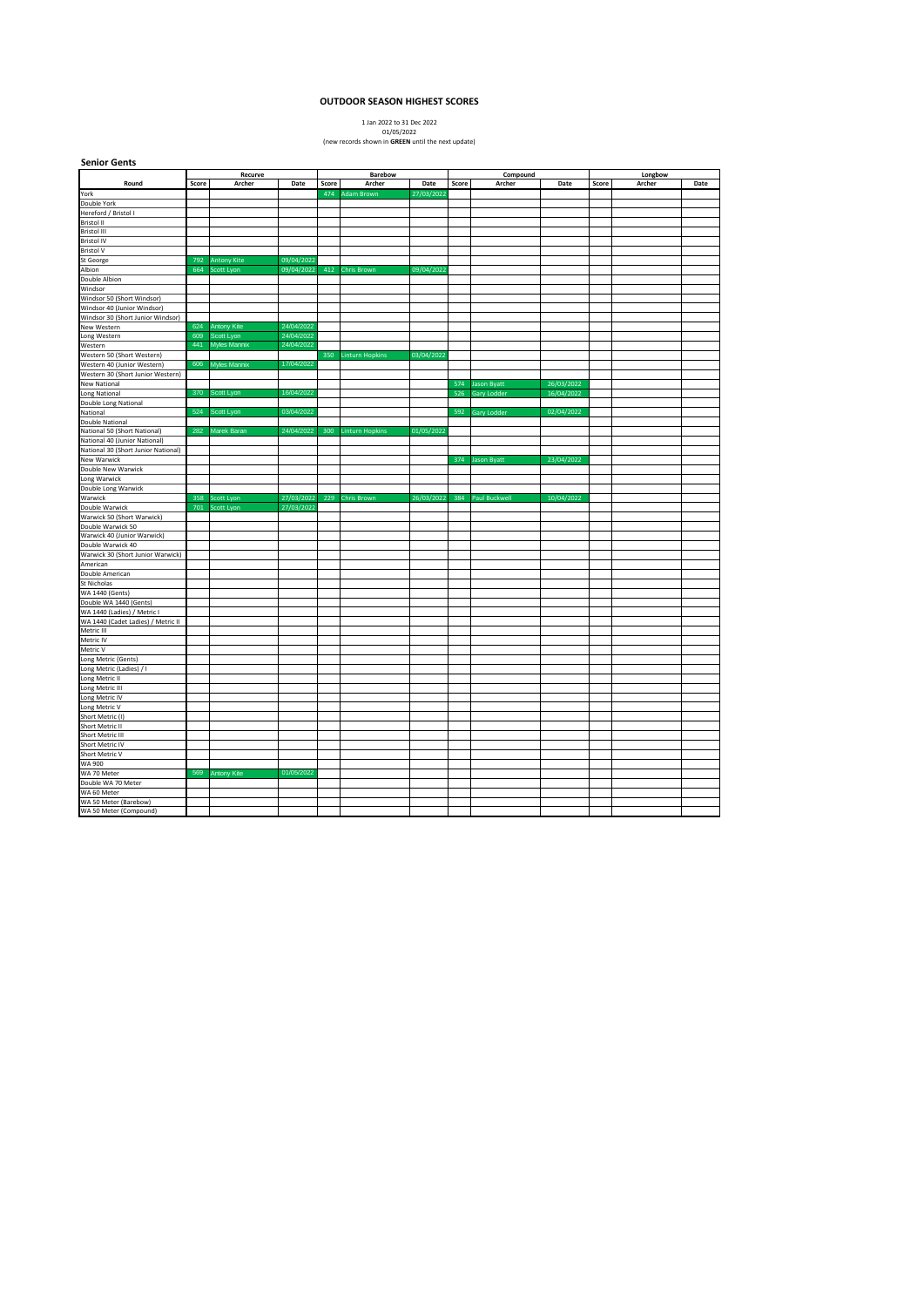## **OUTDOOR SEASON HIGHEST SCORES**

1 Jan 2022 to 31 Dec 2022 01/05/2022 (new records shown in **GREEN** until the next update)

| Recurve<br>Barebow<br>Compound<br>Longbow<br>Round<br>Score<br>Archer<br>Date<br>Score<br>Archer<br>Date<br>Score<br>Archer<br>Date<br>Score<br>Archer<br>Date<br>27/03/2022<br>York<br>474<br>Adam Brown<br>Double York<br>Hereford / Bristol I<br><b>Bristol II</b><br>Bristol III<br><b>Bristol IV</b><br><b>Bristol V</b><br>09/04/2022<br>St George<br>792<br><b>Antony Kite</b><br>09/04/2022<br>Albion<br>664<br>Scott Lyon<br>412<br><b>Chris Brown</b><br>09/04/2022<br>Double Albion<br>Windsor<br>Windsor 50 (Short Windsor)<br>Windsor 40 (Junior Windsor)<br>Windsor 30 (Short Junior Windsor)<br>624<br><b>Antony Kite</b><br>24/04/2022<br>New Western<br>609<br>24/04/2022<br>Scott Lyon<br>441<br>24/04/2022<br><b>Myles Mannix</b><br>Western 50 (Short Western)<br>350<br>03/04/2022<br><b>Linturn Hopkins</b><br>606<br>17/04/2022<br>Western 40 (Junior Western)<br><b>Myles Mannix</b><br>Western 30 (Short Junior Western)<br><b>New National</b><br>26/03/2022<br><b>Jason Byatt</b><br>574<br>370<br>Scott Lyon<br>16/04/2022<br>16/04/2022<br>Long National<br>526<br>Gary Lodder<br>Double Long National<br>National<br>524<br>Scott Lyon<br>03/04/2022<br>592<br>Gary Lodder<br>02/04/2022<br><b>Double National</b><br>282<br>24/04/2022<br>01/05/2022<br>Marek Baran<br>300<br>National 50 (Short National)<br><b>Linturn Hopkins</b><br>National 40 (Junior National)<br>National 30 (Short Junior National)<br>23/04/2022<br><b>New Warwick</b><br>374 Jason Byatt<br>27/03/2022<br>26/03/2022<br>384<br>10/04/2022<br>Warwick<br>358<br>Scott Lyon<br>229<br><b>Chris Brown</b><br>Paul Buckwell<br>27/03/2022<br>701<br>Scott Lyon<br>Double Warwick<br>Warwick 50 (Short Warwick)<br>Double Warwick 50<br>Warwick 40 (Junior Warwick)<br>Double Warwick 40<br>Warwick 30 (Short Junior Warwick)<br>American<br>Double American<br>St Nicholas<br>Double WA 1440 (Gents)<br>WA 1440 (Cadet Ladies) / Metric II<br>Metric III<br>Metric IV<br>Metric V<br>Long Metric (Gents)<br>Long Metric (Ladies) / I<br>Long Metric II<br>Long Metric IV<br>Short Metric III<br>Short Metric IV<br>Short Metric V<br>WA 900<br>569<br>01/05/2022<br>WA 70 Meter<br><b>Antony Kite</b><br>Double WA 70 Meter<br>WA 60 Meter<br>WA 50 Meter (Barebow)<br>WA 50 Meter (Compound) | <b>Senior Gents</b>         |  |  |  |  |  |  |  |  |  |  |
|-----------------------------------------------------------------------------------------------------------------------------------------------------------------------------------------------------------------------------------------------------------------------------------------------------------------------------------------------------------------------------------------------------------------------------------------------------------------------------------------------------------------------------------------------------------------------------------------------------------------------------------------------------------------------------------------------------------------------------------------------------------------------------------------------------------------------------------------------------------------------------------------------------------------------------------------------------------------------------------------------------------------------------------------------------------------------------------------------------------------------------------------------------------------------------------------------------------------------------------------------------------------------------------------------------------------------------------------------------------------------------------------------------------------------------------------------------------------------------------------------------------------------------------------------------------------------------------------------------------------------------------------------------------------------------------------------------------------------------------------------------------------------------------------------------------------------------------------------------------------------------------------------------------------------------------------------------------------------------------------------------------------------------------------------------------------------------------------------------------------------------------------------------------------------------------------------------------------------------------------------------------------------------------------------------|-----------------------------|--|--|--|--|--|--|--|--|--|--|
|                                                                                                                                                                                                                                                                                                                                                                                                                                                                                                                                                                                                                                                                                                                                                                                                                                                                                                                                                                                                                                                                                                                                                                                                                                                                                                                                                                                                                                                                                                                                                                                                                                                                                                                                                                                                                                                                                                                                                                                                                                                                                                                                                                                                                                                                                                     |                             |  |  |  |  |  |  |  |  |  |  |
|                                                                                                                                                                                                                                                                                                                                                                                                                                                                                                                                                                                                                                                                                                                                                                                                                                                                                                                                                                                                                                                                                                                                                                                                                                                                                                                                                                                                                                                                                                                                                                                                                                                                                                                                                                                                                                                                                                                                                                                                                                                                                                                                                                                                                                                                                                     |                             |  |  |  |  |  |  |  |  |  |  |
|                                                                                                                                                                                                                                                                                                                                                                                                                                                                                                                                                                                                                                                                                                                                                                                                                                                                                                                                                                                                                                                                                                                                                                                                                                                                                                                                                                                                                                                                                                                                                                                                                                                                                                                                                                                                                                                                                                                                                                                                                                                                                                                                                                                                                                                                                                     |                             |  |  |  |  |  |  |  |  |  |  |
|                                                                                                                                                                                                                                                                                                                                                                                                                                                                                                                                                                                                                                                                                                                                                                                                                                                                                                                                                                                                                                                                                                                                                                                                                                                                                                                                                                                                                                                                                                                                                                                                                                                                                                                                                                                                                                                                                                                                                                                                                                                                                                                                                                                                                                                                                                     |                             |  |  |  |  |  |  |  |  |  |  |
|                                                                                                                                                                                                                                                                                                                                                                                                                                                                                                                                                                                                                                                                                                                                                                                                                                                                                                                                                                                                                                                                                                                                                                                                                                                                                                                                                                                                                                                                                                                                                                                                                                                                                                                                                                                                                                                                                                                                                                                                                                                                                                                                                                                                                                                                                                     |                             |  |  |  |  |  |  |  |  |  |  |
|                                                                                                                                                                                                                                                                                                                                                                                                                                                                                                                                                                                                                                                                                                                                                                                                                                                                                                                                                                                                                                                                                                                                                                                                                                                                                                                                                                                                                                                                                                                                                                                                                                                                                                                                                                                                                                                                                                                                                                                                                                                                                                                                                                                                                                                                                                     |                             |  |  |  |  |  |  |  |  |  |  |
|                                                                                                                                                                                                                                                                                                                                                                                                                                                                                                                                                                                                                                                                                                                                                                                                                                                                                                                                                                                                                                                                                                                                                                                                                                                                                                                                                                                                                                                                                                                                                                                                                                                                                                                                                                                                                                                                                                                                                                                                                                                                                                                                                                                                                                                                                                     |                             |  |  |  |  |  |  |  |  |  |  |
|                                                                                                                                                                                                                                                                                                                                                                                                                                                                                                                                                                                                                                                                                                                                                                                                                                                                                                                                                                                                                                                                                                                                                                                                                                                                                                                                                                                                                                                                                                                                                                                                                                                                                                                                                                                                                                                                                                                                                                                                                                                                                                                                                                                                                                                                                                     |                             |  |  |  |  |  |  |  |  |  |  |
|                                                                                                                                                                                                                                                                                                                                                                                                                                                                                                                                                                                                                                                                                                                                                                                                                                                                                                                                                                                                                                                                                                                                                                                                                                                                                                                                                                                                                                                                                                                                                                                                                                                                                                                                                                                                                                                                                                                                                                                                                                                                                                                                                                                                                                                                                                     |                             |  |  |  |  |  |  |  |  |  |  |
|                                                                                                                                                                                                                                                                                                                                                                                                                                                                                                                                                                                                                                                                                                                                                                                                                                                                                                                                                                                                                                                                                                                                                                                                                                                                                                                                                                                                                                                                                                                                                                                                                                                                                                                                                                                                                                                                                                                                                                                                                                                                                                                                                                                                                                                                                                     |                             |  |  |  |  |  |  |  |  |  |  |
|                                                                                                                                                                                                                                                                                                                                                                                                                                                                                                                                                                                                                                                                                                                                                                                                                                                                                                                                                                                                                                                                                                                                                                                                                                                                                                                                                                                                                                                                                                                                                                                                                                                                                                                                                                                                                                                                                                                                                                                                                                                                                                                                                                                                                                                                                                     |                             |  |  |  |  |  |  |  |  |  |  |
|                                                                                                                                                                                                                                                                                                                                                                                                                                                                                                                                                                                                                                                                                                                                                                                                                                                                                                                                                                                                                                                                                                                                                                                                                                                                                                                                                                                                                                                                                                                                                                                                                                                                                                                                                                                                                                                                                                                                                                                                                                                                                                                                                                                                                                                                                                     |                             |  |  |  |  |  |  |  |  |  |  |
|                                                                                                                                                                                                                                                                                                                                                                                                                                                                                                                                                                                                                                                                                                                                                                                                                                                                                                                                                                                                                                                                                                                                                                                                                                                                                                                                                                                                                                                                                                                                                                                                                                                                                                                                                                                                                                                                                                                                                                                                                                                                                                                                                                                                                                                                                                     |                             |  |  |  |  |  |  |  |  |  |  |
|                                                                                                                                                                                                                                                                                                                                                                                                                                                                                                                                                                                                                                                                                                                                                                                                                                                                                                                                                                                                                                                                                                                                                                                                                                                                                                                                                                                                                                                                                                                                                                                                                                                                                                                                                                                                                                                                                                                                                                                                                                                                                                                                                                                                                                                                                                     |                             |  |  |  |  |  |  |  |  |  |  |
|                                                                                                                                                                                                                                                                                                                                                                                                                                                                                                                                                                                                                                                                                                                                                                                                                                                                                                                                                                                                                                                                                                                                                                                                                                                                                                                                                                                                                                                                                                                                                                                                                                                                                                                                                                                                                                                                                                                                                                                                                                                                                                                                                                                                                                                                                                     |                             |  |  |  |  |  |  |  |  |  |  |
|                                                                                                                                                                                                                                                                                                                                                                                                                                                                                                                                                                                                                                                                                                                                                                                                                                                                                                                                                                                                                                                                                                                                                                                                                                                                                                                                                                                                                                                                                                                                                                                                                                                                                                                                                                                                                                                                                                                                                                                                                                                                                                                                                                                                                                                                                                     | Long Western                |  |  |  |  |  |  |  |  |  |  |
|                                                                                                                                                                                                                                                                                                                                                                                                                                                                                                                                                                                                                                                                                                                                                                                                                                                                                                                                                                                                                                                                                                                                                                                                                                                                                                                                                                                                                                                                                                                                                                                                                                                                                                                                                                                                                                                                                                                                                                                                                                                                                                                                                                                                                                                                                                     | Western                     |  |  |  |  |  |  |  |  |  |  |
|                                                                                                                                                                                                                                                                                                                                                                                                                                                                                                                                                                                                                                                                                                                                                                                                                                                                                                                                                                                                                                                                                                                                                                                                                                                                                                                                                                                                                                                                                                                                                                                                                                                                                                                                                                                                                                                                                                                                                                                                                                                                                                                                                                                                                                                                                                     |                             |  |  |  |  |  |  |  |  |  |  |
|                                                                                                                                                                                                                                                                                                                                                                                                                                                                                                                                                                                                                                                                                                                                                                                                                                                                                                                                                                                                                                                                                                                                                                                                                                                                                                                                                                                                                                                                                                                                                                                                                                                                                                                                                                                                                                                                                                                                                                                                                                                                                                                                                                                                                                                                                                     |                             |  |  |  |  |  |  |  |  |  |  |
|                                                                                                                                                                                                                                                                                                                                                                                                                                                                                                                                                                                                                                                                                                                                                                                                                                                                                                                                                                                                                                                                                                                                                                                                                                                                                                                                                                                                                                                                                                                                                                                                                                                                                                                                                                                                                                                                                                                                                                                                                                                                                                                                                                                                                                                                                                     |                             |  |  |  |  |  |  |  |  |  |  |
|                                                                                                                                                                                                                                                                                                                                                                                                                                                                                                                                                                                                                                                                                                                                                                                                                                                                                                                                                                                                                                                                                                                                                                                                                                                                                                                                                                                                                                                                                                                                                                                                                                                                                                                                                                                                                                                                                                                                                                                                                                                                                                                                                                                                                                                                                                     |                             |  |  |  |  |  |  |  |  |  |  |
|                                                                                                                                                                                                                                                                                                                                                                                                                                                                                                                                                                                                                                                                                                                                                                                                                                                                                                                                                                                                                                                                                                                                                                                                                                                                                                                                                                                                                                                                                                                                                                                                                                                                                                                                                                                                                                                                                                                                                                                                                                                                                                                                                                                                                                                                                                     |                             |  |  |  |  |  |  |  |  |  |  |
|                                                                                                                                                                                                                                                                                                                                                                                                                                                                                                                                                                                                                                                                                                                                                                                                                                                                                                                                                                                                                                                                                                                                                                                                                                                                                                                                                                                                                                                                                                                                                                                                                                                                                                                                                                                                                                                                                                                                                                                                                                                                                                                                                                                                                                                                                                     |                             |  |  |  |  |  |  |  |  |  |  |
|                                                                                                                                                                                                                                                                                                                                                                                                                                                                                                                                                                                                                                                                                                                                                                                                                                                                                                                                                                                                                                                                                                                                                                                                                                                                                                                                                                                                                                                                                                                                                                                                                                                                                                                                                                                                                                                                                                                                                                                                                                                                                                                                                                                                                                                                                                     |                             |  |  |  |  |  |  |  |  |  |  |
|                                                                                                                                                                                                                                                                                                                                                                                                                                                                                                                                                                                                                                                                                                                                                                                                                                                                                                                                                                                                                                                                                                                                                                                                                                                                                                                                                                                                                                                                                                                                                                                                                                                                                                                                                                                                                                                                                                                                                                                                                                                                                                                                                                                                                                                                                                     |                             |  |  |  |  |  |  |  |  |  |  |
|                                                                                                                                                                                                                                                                                                                                                                                                                                                                                                                                                                                                                                                                                                                                                                                                                                                                                                                                                                                                                                                                                                                                                                                                                                                                                                                                                                                                                                                                                                                                                                                                                                                                                                                                                                                                                                                                                                                                                                                                                                                                                                                                                                                                                                                                                                     |                             |  |  |  |  |  |  |  |  |  |  |
|                                                                                                                                                                                                                                                                                                                                                                                                                                                                                                                                                                                                                                                                                                                                                                                                                                                                                                                                                                                                                                                                                                                                                                                                                                                                                                                                                                                                                                                                                                                                                                                                                                                                                                                                                                                                                                                                                                                                                                                                                                                                                                                                                                                                                                                                                                     |                             |  |  |  |  |  |  |  |  |  |  |
|                                                                                                                                                                                                                                                                                                                                                                                                                                                                                                                                                                                                                                                                                                                                                                                                                                                                                                                                                                                                                                                                                                                                                                                                                                                                                                                                                                                                                                                                                                                                                                                                                                                                                                                                                                                                                                                                                                                                                                                                                                                                                                                                                                                                                                                                                                     |                             |  |  |  |  |  |  |  |  |  |  |
|                                                                                                                                                                                                                                                                                                                                                                                                                                                                                                                                                                                                                                                                                                                                                                                                                                                                                                                                                                                                                                                                                                                                                                                                                                                                                                                                                                                                                                                                                                                                                                                                                                                                                                                                                                                                                                                                                                                                                                                                                                                                                                                                                                                                                                                                                                     | Double New Warwick          |  |  |  |  |  |  |  |  |  |  |
|                                                                                                                                                                                                                                                                                                                                                                                                                                                                                                                                                                                                                                                                                                                                                                                                                                                                                                                                                                                                                                                                                                                                                                                                                                                                                                                                                                                                                                                                                                                                                                                                                                                                                                                                                                                                                                                                                                                                                                                                                                                                                                                                                                                                                                                                                                     | Long Warwick                |  |  |  |  |  |  |  |  |  |  |
|                                                                                                                                                                                                                                                                                                                                                                                                                                                                                                                                                                                                                                                                                                                                                                                                                                                                                                                                                                                                                                                                                                                                                                                                                                                                                                                                                                                                                                                                                                                                                                                                                                                                                                                                                                                                                                                                                                                                                                                                                                                                                                                                                                                                                                                                                                     | Double Long Warwick         |  |  |  |  |  |  |  |  |  |  |
|                                                                                                                                                                                                                                                                                                                                                                                                                                                                                                                                                                                                                                                                                                                                                                                                                                                                                                                                                                                                                                                                                                                                                                                                                                                                                                                                                                                                                                                                                                                                                                                                                                                                                                                                                                                                                                                                                                                                                                                                                                                                                                                                                                                                                                                                                                     |                             |  |  |  |  |  |  |  |  |  |  |
|                                                                                                                                                                                                                                                                                                                                                                                                                                                                                                                                                                                                                                                                                                                                                                                                                                                                                                                                                                                                                                                                                                                                                                                                                                                                                                                                                                                                                                                                                                                                                                                                                                                                                                                                                                                                                                                                                                                                                                                                                                                                                                                                                                                                                                                                                                     |                             |  |  |  |  |  |  |  |  |  |  |
|                                                                                                                                                                                                                                                                                                                                                                                                                                                                                                                                                                                                                                                                                                                                                                                                                                                                                                                                                                                                                                                                                                                                                                                                                                                                                                                                                                                                                                                                                                                                                                                                                                                                                                                                                                                                                                                                                                                                                                                                                                                                                                                                                                                                                                                                                                     |                             |  |  |  |  |  |  |  |  |  |  |
|                                                                                                                                                                                                                                                                                                                                                                                                                                                                                                                                                                                                                                                                                                                                                                                                                                                                                                                                                                                                                                                                                                                                                                                                                                                                                                                                                                                                                                                                                                                                                                                                                                                                                                                                                                                                                                                                                                                                                                                                                                                                                                                                                                                                                                                                                                     |                             |  |  |  |  |  |  |  |  |  |  |
|                                                                                                                                                                                                                                                                                                                                                                                                                                                                                                                                                                                                                                                                                                                                                                                                                                                                                                                                                                                                                                                                                                                                                                                                                                                                                                                                                                                                                                                                                                                                                                                                                                                                                                                                                                                                                                                                                                                                                                                                                                                                                                                                                                                                                                                                                                     |                             |  |  |  |  |  |  |  |  |  |  |
|                                                                                                                                                                                                                                                                                                                                                                                                                                                                                                                                                                                                                                                                                                                                                                                                                                                                                                                                                                                                                                                                                                                                                                                                                                                                                                                                                                                                                                                                                                                                                                                                                                                                                                                                                                                                                                                                                                                                                                                                                                                                                                                                                                                                                                                                                                     |                             |  |  |  |  |  |  |  |  |  |  |
|                                                                                                                                                                                                                                                                                                                                                                                                                                                                                                                                                                                                                                                                                                                                                                                                                                                                                                                                                                                                                                                                                                                                                                                                                                                                                                                                                                                                                                                                                                                                                                                                                                                                                                                                                                                                                                                                                                                                                                                                                                                                                                                                                                                                                                                                                                     |                             |  |  |  |  |  |  |  |  |  |  |
|                                                                                                                                                                                                                                                                                                                                                                                                                                                                                                                                                                                                                                                                                                                                                                                                                                                                                                                                                                                                                                                                                                                                                                                                                                                                                                                                                                                                                                                                                                                                                                                                                                                                                                                                                                                                                                                                                                                                                                                                                                                                                                                                                                                                                                                                                                     |                             |  |  |  |  |  |  |  |  |  |  |
|                                                                                                                                                                                                                                                                                                                                                                                                                                                                                                                                                                                                                                                                                                                                                                                                                                                                                                                                                                                                                                                                                                                                                                                                                                                                                                                                                                                                                                                                                                                                                                                                                                                                                                                                                                                                                                                                                                                                                                                                                                                                                                                                                                                                                                                                                                     |                             |  |  |  |  |  |  |  |  |  |  |
|                                                                                                                                                                                                                                                                                                                                                                                                                                                                                                                                                                                                                                                                                                                                                                                                                                                                                                                                                                                                                                                                                                                                                                                                                                                                                                                                                                                                                                                                                                                                                                                                                                                                                                                                                                                                                                                                                                                                                                                                                                                                                                                                                                                                                                                                                                     | WA 1440 (Gents)             |  |  |  |  |  |  |  |  |  |  |
|                                                                                                                                                                                                                                                                                                                                                                                                                                                                                                                                                                                                                                                                                                                                                                                                                                                                                                                                                                                                                                                                                                                                                                                                                                                                                                                                                                                                                                                                                                                                                                                                                                                                                                                                                                                                                                                                                                                                                                                                                                                                                                                                                                                                                                                                                                     |                             |  |  |  |  |  |  |  |  |  |  |
|                                                                                                                                                                                                                                                                                                                                                                                                                                                                                                                                                                                                                                                                                                                                                                                                                                                                                                                                                                                                                                                                                                                                                                                                                                                                                                                                                                                                                                                                                                                                                                                                                                                                                                                                                                                                                                                                                                                                                                                                                                                                                                                                                                                                                                                                                                     | WA 1440 (Ladies) / Metric I |  |  |  |  |  |  |  |  |  |  |
|                                                                                                                                                                                                                                                                                                                                                                                                                                                                                                                                                                                                                                                                                                                                                                                                                                                                                                                                                                                                                                                                                                                                                                                                                                                                                                                                                                                                                                                                                                                                                                                                                                                                                                                                                                                                                                                                                                                                                                                                                                                                                                                                                                                                                                                                                                     |                             |  |  |  |  |  |  |  |  |  |  |
|                                                                                                                                                                                                                                                                                                                                                                                                                                                                                                                                                                                                                                                                                                                                                                                                                                                                                                                                                                                                                                                                                                                                                                                                                                                                                                                                                                                                                                                                                                                                                                                                                                                                                                                                                                                                                                                                                                                                                                                                                                                                                                                                                                                                                                                                                                     |                             |  |  |  |  |  |  |  |  |  |  |
|                                                                                                                                                                                                                                                                                                                                                                                                                                                                                                                                                                                                                                                                                                                                                                                                                                                                                                                                                                                                                                                                                                                                                                                                                                                                                                                                                                                                                                                                                                                                                                                                                                                                                                                                                                                                                                                                                                                                                                                                                                                                                                                                                                                                                                                                                                     |                             |  |  |  |  |  |  |  |  |  |  |
|                                                                                                                                                                                                                                                                                                                                                                                                                                                                                                                                                                                                                                                                                                                                                                                                                                                                                                                                                                                                                                                                                                                                                                                                                                                                                                                                                                                                                                                                                                                                                                                                                                                                                                                                                                                                                                                                                                                                                                                                                                                                                                                                                                                                                                                                                                     |                             |  |  |  |  |  |  |  |  |  |  |
|                                                                                                                                                                                                                                                                                                                                                                                                                                                                                                                                                                                                                                                                                                                                                                                                                                                                                                                                                                                                                                                                                                                                                                                                                                                                                                                                                                                                                                                                                                                                                                                                                                                                                                                                                                                                                                                                                                                                                                                                                                                                                                                                                                                                                                                                                                     |                             |  |  |  |  |  |  |  |  |  |  |
|                                                                                                                                                                                                                                                                                                                                                                                                                                                                                                                                                                                                                                                                                                                                                                                                                                                                                                                                                                                                                                                                                                                                                                                                                                                                                                                                                                                                                                                                                                                                                                                                                                                                                                                                                                                                                                                                                                                                                                                                                                                                                                                                                                                                                                                                                                     |                             |  |  |  |  |  |  |  |  |  |  |
|                                                                                                                                                                                                                                                                                                                                                                                                                                                                                                                                                                                                                                                                                                                                                                                                                                                                                                                                                                                                                                                                                                                                                                                                                                                                                                                                                                                                                                                                                                                                                                                                                                                                                                                                                                                                                                                                                                                                                                                                                                                                                                                                                                                                                                                                                                     | Long Metric III             |  |  |  |  |  |  |  |  |  |  |
|                                                                                                                                                                                                                                                                                                                                                                                                                                                                                                                                                                                                                                                                                                                                                                                                                                                                                                                                                                                                                                                                                                                                                                                                                                                                                                                                                                                                                                                                                                                                                                                                                                                                                                                                                                                                                                                                                                                                                                                                                                                                                                                                                                                                                                                                                                     |                             |  |  |  |  |  |  |  |  |  |  |
|                                                                                                                                                                                                                                                                                                                                                                                                                                                                                                                                                                                                                                                                                                                                                                                                                                                                                                                                                                                                                                                                                                                                                                                                                                                                                                                                                                                                                                                                                                                                                                                                                                                                                                                                                                                                                                                                                                                                                                                                                                                                                                                                                                                                                                                                                                     | Long Metric V               |  |  |  |  |  |  |  |  |  |  |
|                                                                                                                                                                                                                                                                                                                                                                                                                                                                                                                                                                                                                                                                                                                                                                                                                                                                                                                                                                                                                                                                                                                                                                                                                                                                                                                                                                                                                                                                                                                                                                                                                                                                                                                                                                                                                                                                                                                                                                                                                                                                                                                                                                                                                                                                                                     | Short Metric (I)            |  |  |  |  |  |  |  |  |  |  |
|                                                                                                                                                                                                                                                                                                                                                                                                                                                                                                                                                                                                                                                                                                                                                                                                                                                                                                                                                                                                                                                                                                                                                                                                                                                                                                                                                                                                                                                                                                                                                                                                                                                                                                                                                                                                                                                                                                                                                                                                                                                                                                                                                                                                                                                                                                     | Short Metric II             |  |  |  |  |  |  |  |  |  |  |
|                                                                                                                                                                                                                                                                                                                                                                                                                                                                                                                                                                                                                                                                                                                                                                                                                                                                                                                                                                                                                                                                                                                                                                                                                                                                                                                                                                                                                                                                                                                                                                                                                                                                                                                                                                                                                                                                                                                                                                                                                                                                                                                                                                                                                                                                                                     |                             |  |  |  |  |  |  |  |  |  |  |
|                                                                                                                                                                                                                                                                                                                                                                                                                                                                                                                                                                                                                                                                                                                                                                                                                                                                                                                                                                                                                                                                                                                                                                                                                                                                                                                                                                                                                                                                                                                                                                                                                                                                                                                                                                                                                                                                                                                                                                                                                                                                                                                                                                                                                                                                                                     |                             |  |  |  |  |  |  |  |  |  |  |
|                                                                                                                                                                                                                                                                                                                                                                                                                                                                                                                                                                                                                                                                                                                                                                                                                                                                                                                                                                                                                                                                                                                                                                                                                                                                                                                                                                                                                                                                                                                                                                                                                                                                                                                                                                                                                                                                                                                                                                                                                                                                                                                                                                                                                                                                                                     |                             |  |  |  |  |  |  |  |  |  |  |
|                                                                                                                                                                                                                                                                                                                                                                                                                                                                                                                                                                                                                                                                                                                                                                                                                                                                                                                                                                                                                                                                                                                                                                                                                                                                                                                                                                                                                                                                                                                                                                                                                                                                                                                                                                                                                                                                                                                                                                                                                                                                                                                                                                                                                                                                                                     |                             |  |  |  |  |  |  |  |  |  |  |
|                                                                                                                                                                                                                                                                                                                                                                                                                                                                                                                                                                                                                                                                                                                                                                                                                                                                                                                                                                                                                                                                                                                                                                                                                                                                                                                                                                                                                                                                                                                                                                                                                                                                                                                                                                                                                                                                                                                                                                                                                                                                                                                                                                                                                                                                                                     |                             |  |  |  |  |  |  |  |  |  |  |
|                                                                                                                                                                                                                                                                                                                                                                                                                                                                                                                                                                                                                                                                                                                                                                                                                                                                                                                                                                                                                                                                                                                                                                                                                                                                                                                                                                                                                                                                                                                                                                                                                                                                                                                                                                                                                                                                                                                                                                                                                                                                                                                                                                                                                                                                                                     |                             |  |  |  |  |  |  |  |  |  |  |
|                                                                                                                                                                                                                                                                                                                                                                                                                                                                                                                                                                                                                                                                                                                                                                                                                                                                                                                                                                                                                                                                                                                                                                                                                                                                                                                                                                                                                                                                                                                                                                                                                                                                                                                                                                                                                                                                                                                                                                                                                                                                                                                                                                                                                                                                                                     |                             |  |  |  |  |  |  |  |  |  |  |
|                                                                                                                                                                                                                                                                                                                                                                                                                                                                                                                                                                                                                                                                                                                                                                                                                                                                                                                                                                                                                                                                                                                                                                                                                                                                                                                                                                                                                                                                                                                                                                                                                                                                                                                                                                                                                                                                                                                                                                                                                                                                                                                                                                                                                                                                                                     |                             |  |  |  |  |  |  |  |  |  |  |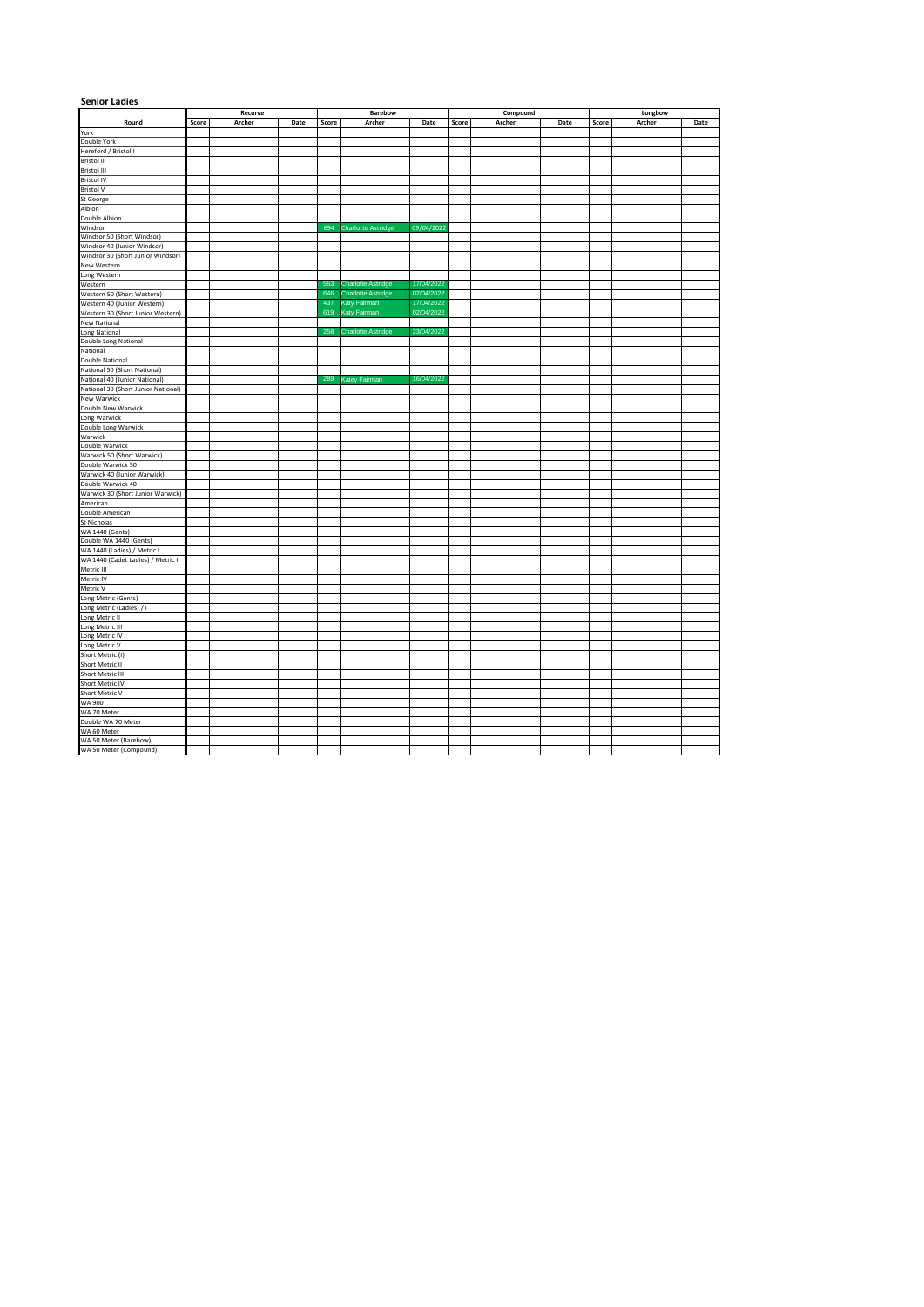| <b>Senior Ladies</b>                                                                                                                                                                                                                                                                | Recurve |        |      |       |                           |            |       |          |      |       |         |      |
|-------------------------------------------------------------------------------------------------------------------------------------------------------------------------------------------------------------------------------------------------------------------------------------|---------|--------|------|-------|---------------------------|------------|-------|----------|------|-------|---------|------|
|                                                                                                                                                                                                                                                                                     |         |        |      |       | Barebow                   |            |       | Compound |      |       | Longbow |      |
| Round                                                                                                                                                                                                                                                                               | Score   | Archer | Date | Score | Archer                    | Date       | Score | Archer   | Date | Score | Archer  | Date |
| York                                                                                                                                                                                                                                                                                |         |        |      |       |                           |            |       |          |      |       |         |      |
| Double York<br>Hereford / Bristol I                                                                                                                                                                                                                                                 |         |        |      |       |                           |            |       |          |      |       |         |      |
| Bristol II                                                                                                                                                                                                                                                                          |         |        |      |       |                           |            |       |          |      |       |         |      |
| <b>Bristol III</b>                                                                                                                                                                                                                                                                  |         |        |      |       |                           |            |       |          |      |       |         |      |
| Bristol IV<br>Bristol IV<br>St George<br>Albion                                                                                                                                                                                                                                     |         |        |      |       |                           |            |       |          |      |       |         |      |
|                                                                                                                                                                                                                                                                                     |         |        |      |       |                           |            |       |          |      |       |         |      |
|                                                                                                                                                                                                                                                                                     |         |        |      |       |                           |            |       |          |      |       |         |      |
|                                                                                                                                                                                                                                                                                     |         |        |      |       |                           |            |       |          |      |       |         |      |
| Double Albion                                                                                                                                                                                                                                                                       |         |        |      |       |                           |            |       |          |      |       |         |      |
| Windsor                                                                                                                                                                                                                                                                             |         |        |      | 694   | <b>Charlotte Astridge</b> | 09/04/2022 |       |          |      |       |         |      |
| Windsor 50 (Short Windsor)<br>Windsor 40 (Junior Windsor)<br>Windsor 30 (Short Junior Windsor)                                                                                                                                                                                      |         |        |      |       |                           |            |       |          |      |       |         |      |
|                                                                                                                                                                                                                                                                                     |         |        |      |       |                           |            |       |          |      |       |         |      |
|                                                                                                                                                                                                                                                                                     |         |        |      |       |                           |            |       |          |      |       |         |      |
|                                                                                                                                                                                                                                                                                     |         |        |      |       |                           |            |       |          |      |       |         |      |
| New Western<br>Long Western<br>Western                                                                                                                                                                                                                                              |         |        |      | 553   | <b>Charlotte Astridge</b> | 17/04/2022 |       |          |      |       |         |      |
|                                                                                                                                                                                                                                                                                     |         |        |      | 646   | <b>Charlotte Astridge</b> | 02/04/2022 |       |          |      |       |         |      |
| Western 50 (Short Western)<br>Western 40 (Junior Western)                                                                                                                                                                                                                           |         |        |      | 437   | Katy Fairman              | 17/04/2022 |       |          |      |       |         |      |
| Western 30 (Short Junior Western)                                                                                                                                                                                                                                                   |         |        |      | 619   | Katy Fairman              | 02/04/2022 |       |          |      |       |         |      |
|                                                                                                                                                                                                                                                                                     |         |        |      |       |                           |            |       |          |      |       |         |      |
| Western 30 (Snort Junior We<br>New National<br>Long National<br>Double Long National<br>National<br>Sol (Snort National)<br>National 50 (Snort National)<br>National 50 (Snort National)                                                                                            |         |        |      | 258   | <b>Charlotte Astridge</b> | 23/04/2022 |       |          |      |       |         |      |
|                                                                                                                                                                                                                                                                                     |         |        |      |       |                           |            |       |          |      |       |         |      |
|                                                                                                                                                                                                                                                                                     |         |        |      |       |                           |            |       |          |      |       |         |      |
|                                                                                                                                                                                                                                                                                     |         |        |      |       |                           |            |       |          |      |       |         |      |
|                                                                                                                                                                                                                                                                                     |         |        |      |       |                           |            |       |          |      |       |         |      |
|                                                                                                                                                                                                                                                                                     |         |        |      | 289   | Katey Fairman             | 16/04/2022 |       |          |      |       |         |      |
|                                                                                                                                                                                                                                                                                     |         |        |      |       |                           |            |       |          |      |       |         |      |
|                                                                                                                                                                                                                                                                                     |         |        |      |       |                           |            |       |          |      |       |         |      |
|                                                                                                                                                                                                                                                                                     |         |        |      |       |                           |            |       |          |      |       |         |      |
| National 30 (Junior National)<br>National 30 (Short Junior National)<br>New Warwick<br>Double Long<br>National Republic Construction<br>Long Warwick<br>Long Warwick<br>National Warwick<br>National Warwick<br>National Warwick<br>National Warwi                                  |         |        |      |       |                           |            |       |          |      |       |         |      |
|                                                                                                                                                                                                                                                                                     |         |        |      |       |                           |            |       |          |      |       |         |      |
| Warwick                                                                                                                                                                                                                                                                             |         |        |      |       |                           |            |       |          |      |       |         |      |
| Double Warwick<br>Warwick 50 (Short Warwick)                                                                                                                                                                                                                                        |         |        |      |       |                           |            |       |          |      |       |         |      |
|                                                                                                                                                                                                                                                                                     |         |        |      |       |                           |            |       |          |      |       |         |      |
|                                                                                                                                                                                                                                                                                     |         |        |      |       |                           |            |       |          |      |       |         |      |
|                                                                                                                                                                                                                                                                                     |         |        |      |       |                           |            |       |          |      |       |         |      |
|                                                                                                                                                                                                                                                                                     |         |        |      |       |                           |            |       |          |      |       |         |      |
|                                                                                                                                                                                                                                                                                     |         |        |      |       |                           |            |       |          |      |       |         |      |
|                                                                                                                                                                                                                                                                                     |         |        |      |       |                           |            |       |          |      |       |         |      |
|                                                                                                                                                                                                                                                                                     |         |        |      |       |                           |            |       |          |      |       |         |      |
|                                                                                                                                                                                                                                                                                     |         |        |      |       |                           |            |       |          |      |       |         |      |
|                                                                                                                                                                                                                                                                                     |         |        |      |       |                           |            |       |          |      |       |         |      |
| Warwick S0 (Short Warwick)<br>Double Warwick S0<br>Warwick 40 (Junior Warwick)<br>Double Warwick 40<br>Marwick 30 (Short Junior Warwick)<br>Americian<br>Double American<br>St Nicholas<br>St WA 1440 (Gents)<br>WA 1440 (Ladies) / Metric I<br>WA 1440 (Lad                        |         |        |      |       |                           |            |       |          |      |       |         |      |
|                                                                                                                                                                                                                                                                                     |         |        |      |       |                           |            |       |          |      |       |         |      |
|                                                                                                                                                                                                                                                                                     |         |        |      |       |                           |            |       |          |      |       |         |      |
| Metric IV<br>Metric V                                                                                                                                                                                                                                                               |         |        |      |       |                           |            |       |          |      |       |         |      |
|                                                                                                                                                                                                                                                                                     |         |        |      |       |                           |            |       |          |      |       |         |      |
|                                                                                                                                                                                                                                                                                     |         |        |      |       |                           |            |       |          |      |       |         |      |
|                                                                                                                                                                                                                                                                                     |         |        |      |       |                           |            |       |          |      |       |         |      |
|                                                                                                                                                                                                                                                                                     |         |        |      |       |                           |            |       |          |      |       |         |      |
|                                                                                                                                                                                                                                                                                     |         |        |      |       |                           |            |       |          |      |       |         |      |
|                                                                                                                                                                                                                                                                                     |         |        |      |       |                           |            |       |          |      |       |         |      |
|                                                                                                                                                                                                                                                                                     |         |        |      |       |                           |            |       |          |      |       |         |      |
|                                                                                                                                                                                                                                                                                     |         |        |      |       |                           |            |       |          |      |       |         |      |
|                                                                                                                                                                                                                                                                                     |         |        |      |       |                           |            |       |          |      |       |         |      |
|                                                                                                                                                                                                                                                                                     |         |        |      |       |                           |            |       |          |      |       |         |      |
|                                                                                                                                                                                                                                                                                     |         |        |      |       |                           |            |       |          |      |       |         |      |
|                                                                                                                                                                                                                                                                                     |         |        |      |       |                           |            |       |          |      |       |         |      |
|                                                                                                                                                                                                                                                                                     |         |        |      |       |                           |            |       |          |      |       |         |      |
|                                                                                                                                                                                                                                                                                     |         |        |      |       |                           |            |       |          |      |       |         |      |
| Metric (Gents)<br>Long Metric (Gents)<br>Long Metric II<br>Long Metric II<br>Long Metric II<br>Long Metric IV<br>Long Metric V<br>Short Metric II<br>Short Metric II<br>Short Metric IV<br>Short Metric IV<br>Short Metric IV<br>WA 200<br>Meter<br>WA 200<br>WA 50 Meter (Barebow) |         |        |      |       |                           |            |       |          |      |       |         |      |
| WA 50 Meter (Compound)                                                                                                                                                                                                                                                              |         |        |      |       |                           |            |       |          |      |       |         |      |
|                                                                                                                                                                                                                                                                                     |         |        |      |       |                           |            |       |          |      |       |         |      |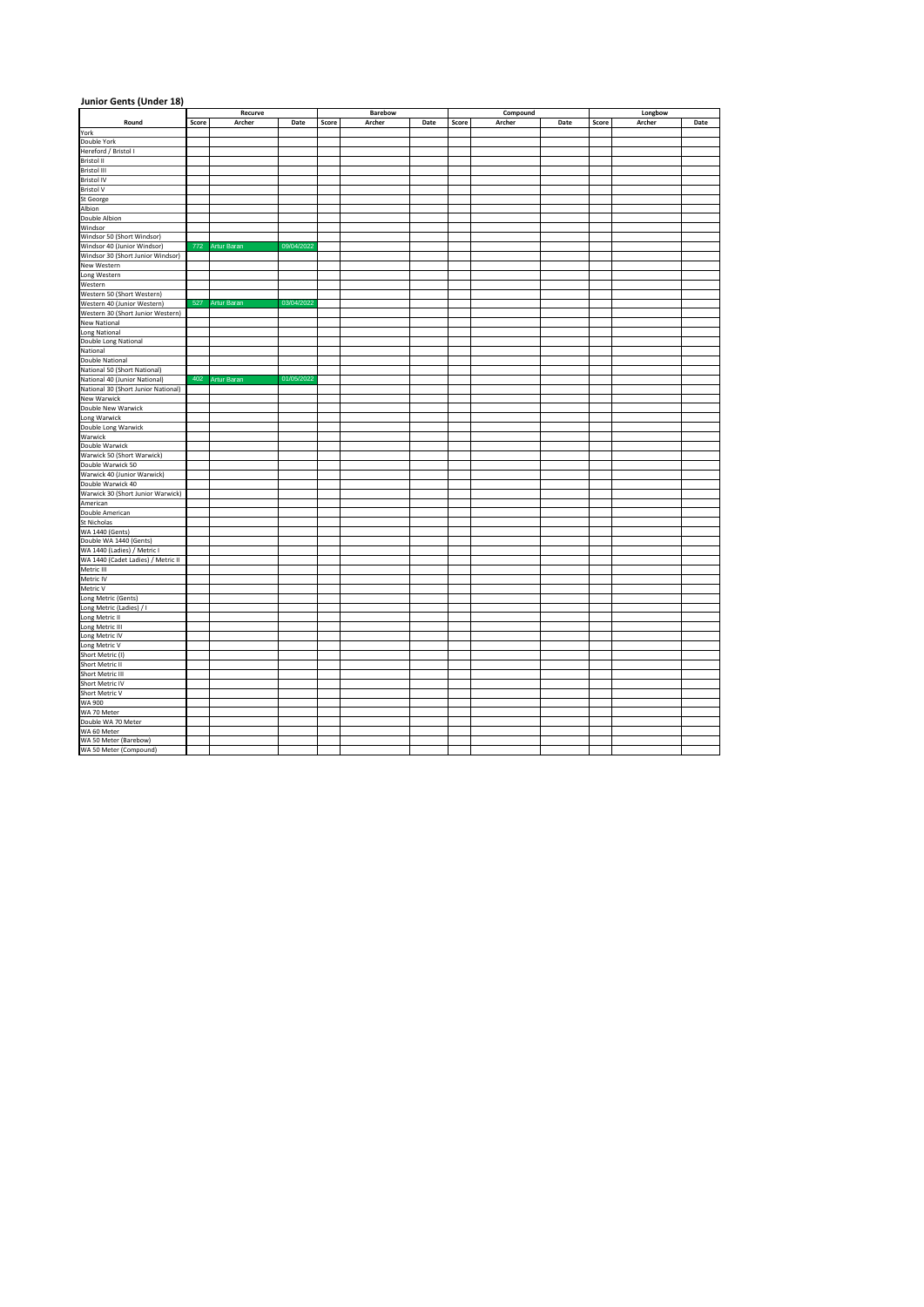| Junior Gents (Under 18)                                                            |       |                    |            |       |         |      |       |          |      |         |        |      |  |
|------------------------------------------------------------------------------------|-------|--------------------|------------|-------|---------|------|-------|----------|------|---------|--------|------|--|
|                                                                                    |       | Recurve            |            |       | Barebow |      |       | Compound |      | Longbow |        |      |  |
| Round                                                                              | Score | Archer             | Date       | Score | Archer  | Date | Score | Archer   | Date | Score   | Archer | Date |  |
| York                                                                               |       |                    |            |       |         |      |       |          |      |         |        |      |  |
| Double York                                                                        |       |                    |            |       |         |      |       |          |      |         |        |      |  |
| Hereford / Bristol I                                                               |       |                    |            |       |         |      |       |          |      |         |        |      |  |
| Bristol II<br>Bristol III                                                          |       |                    |            |       |         |      |       |          |      |         |        |      |  |
| <b>Bristol IV</b>                                                                  |       |                    |            |       |         |      |       |          |      |         |        |      |  |
| <b>Bristol V</b>                                                                   |       |                    |            |       |         |      |       |          |      |         |        |      |  |
| St George                                                                          |       |                    |            |       |         |      |       |          |      |         |        |      |  |
| Albion                                                                             |       |                    |            |       |         |      |       |          |      |         |        |      |  |
| <b>Double Albion</b>                                                               |       |                    |            |       |         |      |       |          |      |         |        |      |  |
| Windsor                                                                            |       |                    |            |       |         |      |       |          |      |         |        |      |  |
| Windsor 50 (Short Windsor)                                                         |       |                    |            |       |         |      |       |          |      |         |        |      |  |
| Windsor 40 (Junior Windsor)                                                        | 772   | <b>Artur Baran</b> | 09/04/2022 |       |         |      |       |          |      |         |        |      |  |
| Windsor 30 (Short Junior Windsor)                                                  |       |                    |            |       |         |      |       |          |      |         |        |      |  |
| New Western<br>Long Western<br>Western                                             |       |                    |            |       |         |      |       |          |      |         |        |      |  |
|                                                                                    |       |                    |            |       |         |      |       |          |      |         |        |      |  |
|                                                                                    |       |                    |            |       |         |      |       |          |      |         |        |      |  |
| Western 50 (Short Western)                                                         | 527   |                    |            |       |         |      |       |          |      |         |        |      |  |
| Western 40 (Junior Western)                                                        |       | Artur Barar        | 03/04/2022 |       |         |      |       |          |      |         |        |      |  |
| Western 30 (Short Junior Western)<br><b>New National</b>                           |       |                    |            |       |         |      |       |          |      |         |        |      |  |
|                                                                                    |       |                    |            |       |         |      |       |          |      |         |        |      |  |
| Long National<br>Double Long National                                              |       |                    |            |       |         |      |       |          |      |         |        |      |  |
| National                                                                           |       |                    |            |       |         |      |       |          |      |         |        |      |  |
| <b>Double National</b>                                                             |       |                    |            |       |         |      |       |          |      |         |        |      |  |
| National 50 (Short National)                                                       |       |                    |            |       |         |      |       |          |      |         |        |      |  |
| National 40 (Junior National)                                                      | 402   | Artur Barar        | 01/05/2022 |       |         |      |       |          |      |         |        |      |  |
| National 30 (Short Junior National)                                                |       |                    |            |       |         |      |       |          |      |         |        |      |  |
| <b>New Warwick</b>                                                                 |       |                    |            |       |         |      |       |          |      |         |        |      |  |
|                                                                                    |       |                    |            |       |         |      |       |          |      |         |        |      |  |
|                                                                                    |       |                    |            |       |         |      |       |          |      |         |        |      |  |
| <b>Double New Warwick<br/>Long Warwick<br/>Double Long Warwick</b>                 |       |                    |            |       |         |      |       |          |      |         |        |      |  |
| Warwick                                                                            |       |                    |            |       |         |      |       |          |      |         |        |      |  |
| Double Warwick                                                                     |       |                    |            |       |         |      |       |          |      |         |        |      |  |
| Warwick 50 (Short Warwick)<br>Double Warwick 50                                    |       |                    |            |       |         |      |       |          |      |         |        |      |  |
| Warwick 40 (Junior Warwick)                                                        |       |                    |            |       |         |      |       |          |      |         |        |      |  |
| Double Warwick 40                                                                  |       |                    |            |       |         |      |       |          |      |         |        |      |  |
| Warwick 30 (Short Junior Warwick)                                                  |       |                    |            |       |         |      |       |          |      |         |        |      |  |
| American                                                                           |       |                    |            |       |         |      |       |          |      |         |        |      |  |
| Double American                                                                    |       |                    |            |       |         |      |       |          |      |         |        |      |  |
| St Nicholas                                                                        |       |                    |            |       |         |      |       |          |      |         |        |      |  |
|                                                                                    |       |                    |            |       |         |      |       |          |      |         |        |      |  |
| WA 1440 (Gents)<br>Double WA 1440 (Gents)                                          |       |                    |            |       |         |      |       |          |      |         |        |      |  |
| WA 1440 (Ladies) / Metric I<br>WA 1440 (Cadet Ladies) / Metric II                  |       |                    |            |       |         |      |       |          |      |         |        |      |  |
|                                                                                    |       |                    |            |       |         |      |       |          |      |         |        |      |  |
| Metric III                                                                         |       |                    |            |       |         |      |       |          |      |         |        |      |  |
| Metric IV                                                                          |       |                    |            |       |         |      |       |          |      |         |        |      |  |
| Metric V                                                                           |       |                    |            |       |         |      |       |          |      |         |        |      |  |
| Long Metric (Gents)                                                                |       |                    |            |       |         |      |       |          |      |         |        |      |  |
| Long Metric (Ladies) / I<br>Long Metric II                                         |       |                    |            |       |         |      |       |          |      |         |        |      |  |
|                                                                                    |       |                    |            |       |         |      |       |          |      |         |        |      |  |
|                                                                                    |       |                    |            |       |         |      |       |          |      |         |        |      |  |
|                                                                                    |       |                    |            |       |         |      |       |          |      |         |        |      |  |
| Long Metric III<br>Long Metric IV<br>Long Metric V<br>Short Metric (I)             |       |                    |            |       |         |      |       |          |      |         |        |      |  |
|                                                                                    |       |                    |            |       |         |      |       |          |      |         |        |      |  |
| Short Metric II<br>Short Metric III<br>Short Metric IV<br>Short Metric V<br>WA 900 |       |                    |            |       |         |      |       |          |      |         |        |      |  |
|                                                                                    |       |                    |            |       |         |      |       |          |      |         |        |      |  |
|                                                                                    |       |                    |            |       |         |      |       |          |      |         |        |      |  |
|                                                                                    |       |                    |            |       |         |      |       |          |      |         |        |      |  |
| WA 70 Meter<br>Double WA 70 Meter                                                  |       |                    |            |       |         |      |       |          |      |         |        |      |  |
|                                                                                    |       |                    |            |       |         |      |       |          |      |         |        |      |  |
| WA 60 Meter                                                                        |       |                    |            |       |         |      |       |          |      |         |        |      |  |
| WA 50 Meter (Barebow)                                                              |       |                    |            |       |         |      |       |          |      |         |        |      |  |
| WA 50 Meter (Compound)                                                             |       |                    |            |       |         |      |       |          |      |         |        |      |  |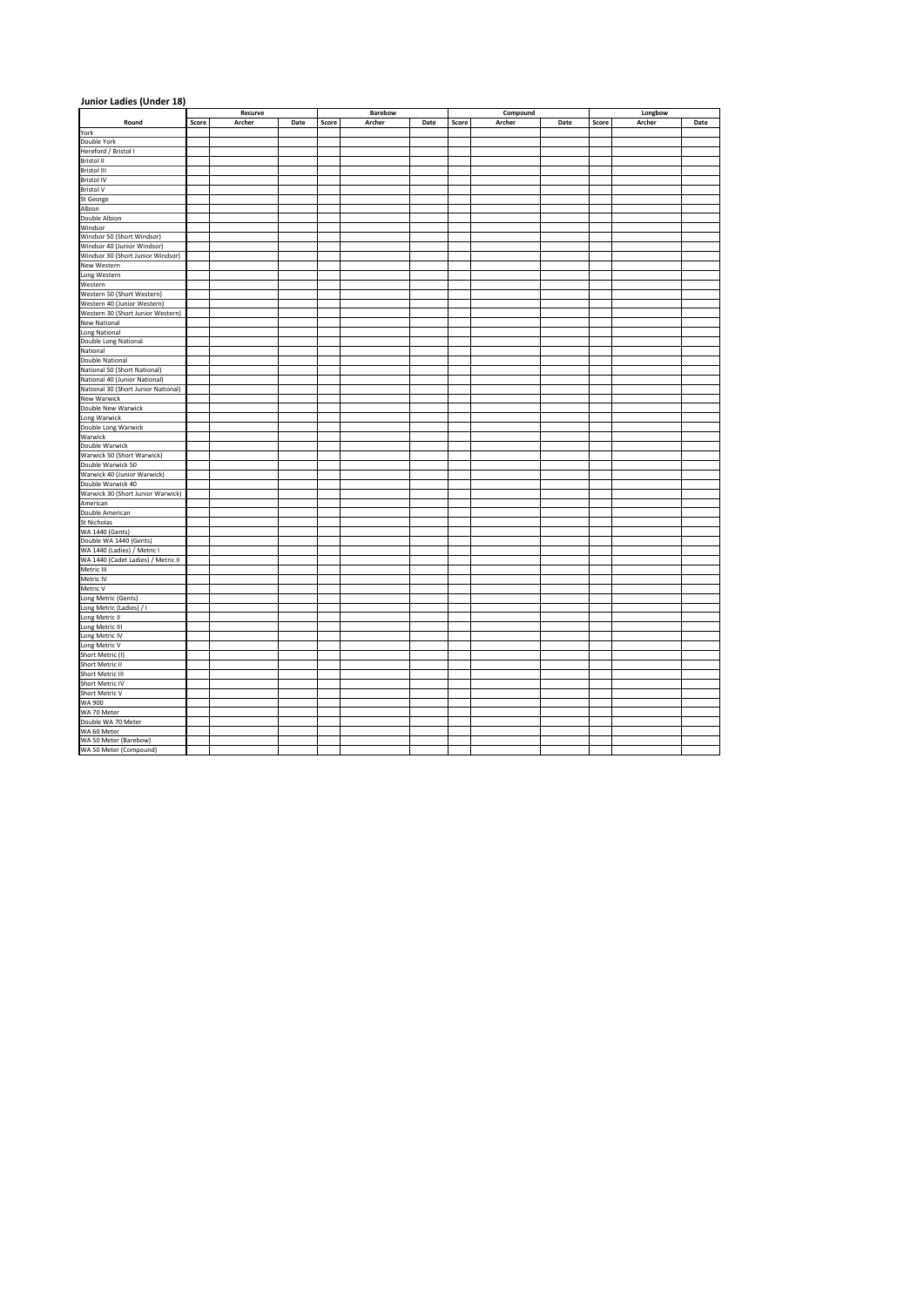| Junior Ladies (Under 18)                                                                                   |       |         |      |       |         |      |       |          |      |         |        |      |
|------------------------------------------------------------------------------------------------------------|-------|---------|------|-------|---------|------|-------|----------|------|---------|--------|------|
|                                                                                                            |       | Recurve |      |       | Barebow |      |       | Compound |      | Longbow |        |      |
| Round                                                                                                      | Score | Archer  | Date | Score | Archer  | Date | Score | Archer   | Date | Score   | Archer | Date |
| York                                                                                                       |       |         |      |       |         |      |       |          |      |         |        |      |
| Double York                                                                                                |       |         |      |       |         |      |       |          |      |         |        |      |
| Hereford / Bristol I                                                                                       |       |         |      |       |         |      |       |          |      |         |        |      |
| Bristol II<br>Bristol III                                                                                  |       |         |      |       |         |      |       |          |      |         |        |      |
| <b>Bristol IV</b>                                                                                          |       |         |      |       |         |      |       |          |      |         |        |      |
| <b>Bristol V</b>                                                                                           |       |         |      |       |         |      |       |          |      |         |        |      |
| St George                                                                                                  |       |         |      |       |         |      |       |          |      |         |        |      |
| Albion                                                                                                     |       |         |      |       |         |      |       |          |      |         |        |      |
| Double Albion                                                                                              |       |         |      |       |         |      |       |          |      |         |        |      |
| Windsor                                                                                                    |       |         |      |       |         |      |       |          |      |         |        |      |
| Windsor 50 (Short Windsor)                                                                                 |       |         |      |       |         |      |       |          |      |         |        |      |
| Windsor 40 (Junior Windsor)                                                                                |       |         |      |       |         |      |       |          |      |         |        |      |
| Windsor av (Junior Windsor)<br>Nindsor 30 (Short Junior Windsor)<br>New Western<br>Long Western<br>Western |       |         |      |       |         |      |       |          |      |         |        |      |
|                                                                                                            |       |         |      |       |         |      |       |          |      |         |        |      |
|                                                                                                            |       |         |      |       |         |      |       |          |      |         |        |      |
| Western 50 (Short Western)                                                                                 |       |         |      |       |         |      |       |          |      |         |        |      |
| Western 40 (Junior Western)                                                                                |       |         |      |       |         |      |       |          |      |         |        |      |
| Western 30 (Short Junior Western)                                                                          |       |         |      |       |         |      |       |          |      |         |        |      |
| <b>New National</b>                                                                                        |       |         |      |       |         |      |       |          |      |         |        |      |
|                                                                                                            |       |         |      |       |         |      |       |          |      |         |        |      |
| Long National<br>Double Long National                                                                      |       |         |      |       |         |      |       |          |      |         |        |      |
| National                                                                                                   |       |         |      |       |         |      |       |          |      |         |        |      |
| Double National                                                                                            |       |         |      |       |         |      |       |          |      |         |        |      |
| National 50 (Short National)                                                                               |       |         |      |       |         |      |       |          |      |         |        |      |
| National 40 (Junior National)                                                                              |       |         |      |       |         |      |       |          |      |         |        |      |
| National 30 (Short Junior National)                                                                        |       |         |      |       |         |      |       |          |      |         |        |      |
| <b>New Warwick</b>                                                                                         |       |         |      |       |         |      |       |          |      |         |        |      |
|                                                                                                            |       |         |      |       |         |      |       |          |      |         |        |      |
| <b>Double New Warwick<br/>Long Warwick<br/>Double Long Warwick</b>                                         |       |         |      |       |         |      |       |          |      |         |        |      |
| Warwick                                                                                                    |       |         |      |       |         |      |       |          |      |         |        |      |
| Double Warwick                                                                                             |       |         |      |       |         |      |       |          |      |         |        |      |
| Warwick 50 (Short Warwick)                                                                                 |       |         |      |       |         |      |       |          |      |         |        |      |
| Double Warwick 50                                                                                          |       |         |      |       |         |      |       |          |      |         |        |      |
| Warwick 40 (Junior Warwick)                                                                                |       |         |      |       |         |      |       |          |      |         |        |      |
| Double Warwick 40                                                                                          |       |         |      |       |         |      |       |          |      |         |        |      |
| Warwick 30 (Short Junior Warwick)                                                                          |       |         |      |       |         |      |       |          |      |         |        |      |
| American                                                                                                   |       |         |      |       |         |      |       |          |      |         |        |      |
| Double American                                                                                            |       |         |      |       |         |      |       |          |      |         |        |      |
| St Nicholas                                                                                                |       |         |      |       |         |      |       |          |      |         |        |      |
|                                                                                                            |       |         |      |       |         |      |       |          |      |         |        |      |
|                                                                                                            |       |         |      |       |         |      |       |          |      |         |        |      |
| Stational<br>WA 1440 (Gents)<br>WA 1440 (Ladies) / Metric I<br>WA 1440 (Cadet Ladies) / Metric II          |       |         |      |       |         |      |       |          |      |         |        |      |
| Metric III                                                                                                 |       |         |      |       |         |      |       |          |      |         |        |      |
| Metric IV                                                                                                  |       |         |      |       |         |      |       |          |      |         |        |      |
| Metric V                                                                                                   |       |         |      |       |         |      |       |          |      |         |        |      |
| Long Metric (Gents)                                                                                        |       |         |      |       |         |      |       |          |      |         |        |      |
| Long Metric (Ladies) / I                                                                                   |       |         |      |       |         |      |       |          |      |         |        |      |
| Long Metric II                                                                                             |       |         |      |       |         |      |       |          |      |         |        |      |
|                                                                                                            |       |         |      |       |         |      |       |          |      |         |        |      |
| Long Metric III<br>Long Metric IV<br>Long Metric V<br>Short Metric (I)                                     |       |         |      |       |         |      |       |          |      |         |        |      |
|                                                                                                            |       |         |      |       |         |      |       |          |      |         |        |      |
|                                                                                                            |       |         |      |       |         |      |       |          |      |         |        |      |
| Short Metric II<br>Short Metric III<br>Short Metric IV<br>Short Metric V<br>WA 900                         |       |         |      |       |         |      |       |          |      |         |        |      |
|                                                                                                            |       |         |      |       |         |      |       |          |      |         |        |      |
|                                                                                                            |       |         |      |       |         |      |       |          |      |         |        |      |
|                                                                                                            |       |         |      |       |         |      |       |          |      |         |        |      |
| WA 70 Meter<br>Double WA 70 Meter                                                                          |       |         |      |       |         |      |       |          |      |         |        |      |
|                                                                                                            |       |         |      |       |         |      |       |          |      |         |        |      |
| WA 60 Meter                                                                                                |       |         |      |       |         |      |       |          |      |         |        |      |
| WA 50 Meter (Barebow)                                                                                      |       |         |      |       |         |      |       |          |      |         |        |      |
| WA 50 Meter (Compound)                                                                                     |       |         |      |       |         |      |       |          |      |         |        |      |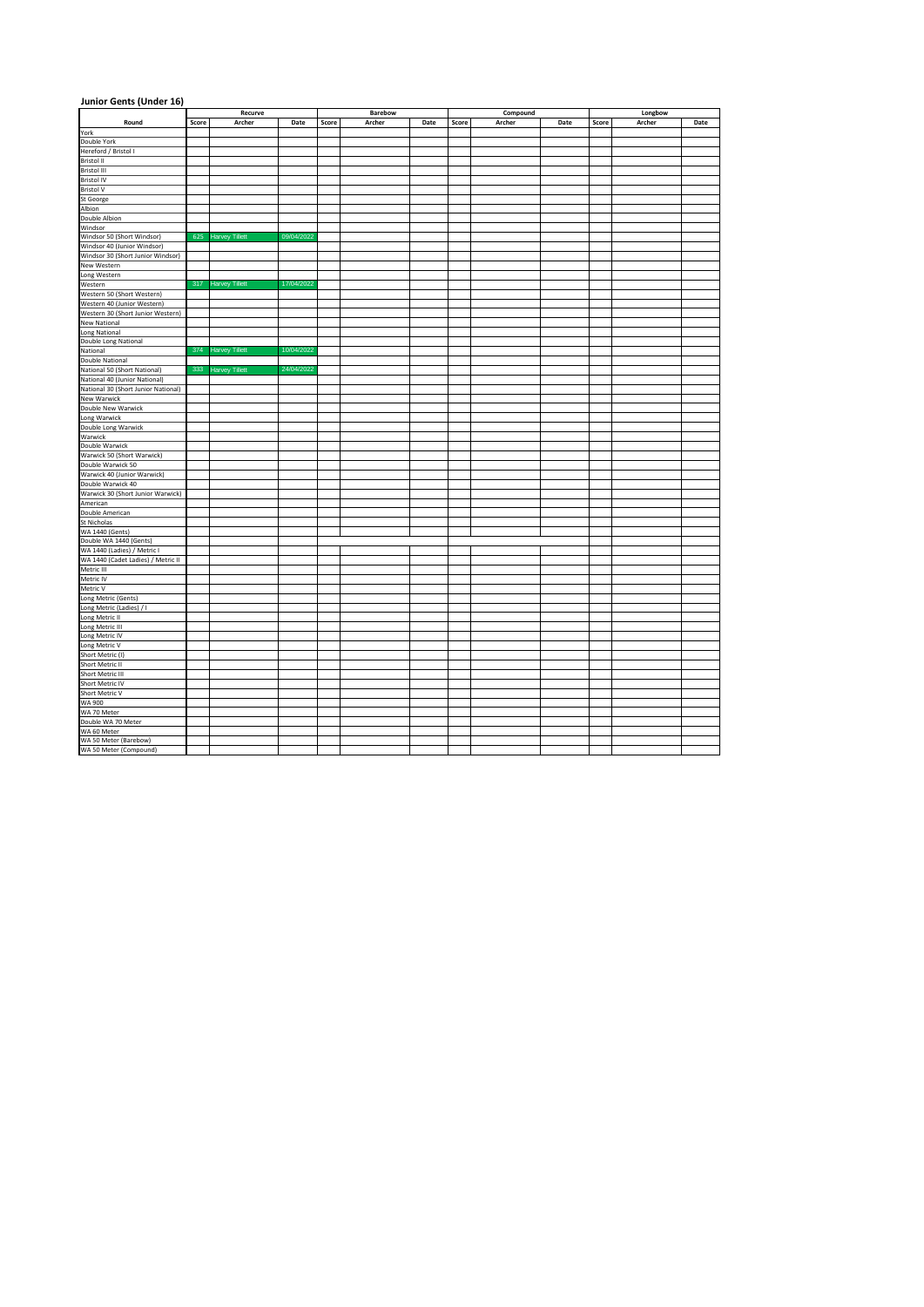| Junior Gents (Under 16)                                                            |       |                       |            |       |         |      |       |          |      |         |        |      |
|------------------------------------------------------------------------------------|-------|-----------------------|------------|-------|---------|------|-------|----------|------|---------|--------|------|
|                                                                                    |       | Recurve               |            |       | Barebow |      |       | Compound |      | Longbow |        |      |
| Round                                                                              | Score | Archer                | Date       | Score | Archer  | Date | Score | Archer   | Date | Score   | Archer | Date |
| York                                                                               |       |                       |            |       |         |      |       |          |      |         |        |      |
| Double York                                                                        |       |                       |            |       |         |      |       |          |      |         |        |      |
| Hereford / Bristol I                                                               |       |                       |            |       |         |      |       |          |      |         |        |      |
| Bristol II                                                                         |       |                       |            |       |         |      |       |          |      |         |        |      |
| Bristol III                                                                        |       |                       |            |       |         |      |       |          |      |         |        |      |
| <b>Bristol IV</b>                                                                  |       |                       |            |       |         |      |       |          |      |         |        |      |
| <b>Bristol V</b><br>St George                                                      |       |                       |            |       |         |      |       |          |      |         |        |      |
|                                                                                    |       |                       |            |       |         |      |       |          |      |         |        |      |
| Albion<br><b>Double Albion</b>                                                     |       |                       |            |       |         |      |       |          |      |         |        |      |
| Windsor                                                                            |       |                       |            |       |         |      |       |          |      |         |        |      |
| Windsor 50 (Short Windsor)                                                         | 625   | <b>Harvey Tillett</b> | 09/04/2022 |       |         |      |       |          |      |         |        |      |
| Windsor 40 (Junior Windsor)                                                        |       |                       |            |       |         |      |       |          |      |         |        |      |
| Windsor 30 (Short Junior Windsor)                                                  |       |                       |            |       |         |      |       |          |      |         |        |      |
|                                                                                    |       |                       |            |       |         |      |       |          |      |         |        |      |
|                                                                                    |       |                       |            |       |         |      |       |          |      |         |        |      |
| New Western<br>Long Western<br>Western                                             | 317   | <b>Harvey Tillett</b> | 17/04/2022 |       |         |      |       |          |      |         |        |      |
| Western 50 (Short Western)                                                         |       |                       |            |       |         |      |       |          |      |         |        |      |
| Western 40 (Junior Western)                                                        |       |                       |            |       |         |      |       |          |      |         |        |      |
| Western 30 (Short Junior Western)                                                  |       |                       |            |       |         |      |       |          |      |         |        |      |
| <b>New National</b>                                                                |       |                       |            |       |         |      |       |          |      |         |        |      |
|                                                                                    |       |                       |            |       |         |      |       |          |      |         |        |      |
| <b>Long National<br/>Double Long National</b>                                      |       |                       |            |       |         |      |       |          |      |         |        |      |
| National                                                                           | 374   | <b>Harvey Tillett</b> | 10/04/2022 |       |         |      |       |          |      |         |        |      |
| <b>Double National</b>                                                             |       |                       |            |       |         |      |       |          |      |         |        |      |
| National 50 (Short National)                                                       |       | 333 Harvey Tillett    | 24/04/2022 |       |         |      |       |          |      |         |        |      |
| National 40 (Junior National)                                                      |       |                       |            |       |         |      |       |          |      |         |        |      |
| National 30 (Short Junior National)                                                |       |                       |            |       |         |      |       |          |      |         |        |      |
| <b>New Warwick</b>                                                                 |       |                       |            |       |         |      |       |          |      |         |        |      |
|                                                                                    |       |                       |            |       |         |      |       |          |      |         |        |      |
|                                                                                    |       |                       |            |       |         |      |       |          |      |         |        |      |
| <b>Double New Warwick<br/>Long Warwick<br/>Double Long Warwick</b>                 |       |                       |            |       |         |      |       |          |      |         |        |      |
| Warwick                                                                            |       |                       |            |       |         |      |       |          |      |         |        |      |
| Double Warwick                                                                     |       |                       |            |       |         |      |       |          |      |         |        |      |
| Warwick 50 (Short Warwick)                                                         |       |                       |            |       |         |      |       |          |      |         |        |      |
| Double Warwick 50                                                                  |       |                       |            |       |         |      |       |          |      |         |        |      |
| Warwick 40 (Junior Warwick)                                                        |       |                       |            |       |         |      |       |          |      |         |        |      |
| Double Warwick 40                                                                  |       |                       |            |       |         |      |       |          |      |         |        |      |
| Warwick 30 (Short Junior Warwick)<br>American                                      |       |                       |            |       |         |      |       |          |      |         |        |      |
| Double American                                                                    |       |                       |            |       |         |      |       |          |      |         |        |      |
| St Nicholas                                                                        |       |                       |            |       |         |      |       |          |      |         |        |      |
|                                                                                    |       |                       |            |       |         |      |       |          |      |         |        |      |
| WA 1440 (Gents)<br>Double WA 1440 (Gents)                                          |       |                       |            |       |         |      |       |          |      |         |        |      |
|                                                                                    |       |                       |            |       |         |      |       |          |      |         |        |      |
| WA 1440 (Ladies) / Metric I<br>WA 1440 (Cadet Ladies) / Metric II                  |       |                       |            |       |         |      |       |          |      |         |        |      |
| Metric III                                                                         |       |                       |            |       |         |      |       |          |      |         |        |      |
| Metric IV                                                                          |       |                       |            |       |         |      |       |          |      |         |        |      |
| Metric V                                                                           |       |                       |            |       |         |      |       |          |      |         |        |      |
| Long Metric (Gents)                                                                |       |                       |            |       |         |      |       |          |      |         |        |      |
| Long Metric (Ladies) / I                                                           |       |                       |            |       |         |      |       |          |      |         |        |      |
| Long Metric II                                                                     |       |                       |            |       |         |      |       |          |      |         |        |      |
|                                                                                    |       |                       |            |       |         |      |       |          |      |         |        |      |
|                                                                                    |       |                       |            |       |         |      |       |          |      |         |        |      |
| Long Metric III<br>Long Metric IV<br>Long Metric V<br>Short Metric (I)             |       |                       |            |       |         |      |       |          |      |         |        |      |
|                                                                                    |       |                       |            |       |         |      |       |          |      |         |        |      |
|                                                                                    |       |                       |            |       |         |      |       |          |      |         |        |      |
|                                                                                    |       |                       |            |       |         |      |       |          |      |         |        |      |
| Short Metric II<br>Short Metric III<br>Short Metric IV<br>Short Metric V<br>WA 900 |       |                       |            |       |         |      |       |          |      |         |        |      |
|                                                                                    |       |                       |            |       |         |      |       |          |      |         |        |      |
|                                                                                    |       |                       |            |       |         |      |       |          |      |         |        |      |
| WA 70 Meter<br>Double WA 70 Meter                                                  |       |                       |            |       |         |      |       |          |      |         |        |      |
|                                                                                    |       |                       |            |       |         |      |       |          |      |         |        |      |
| WA 60 Meter                                                                        |       |                       |            |       |         |      |       |          |      |         |        |      |
| WA 50 Meter (Barebow)                                                              |       |                       |            |       |         |      |       |          |      |         |        |      |
| WA 50 Meter (Compound)                                                             |       |                       |            |       |         |      |       |          |      |         |        |      |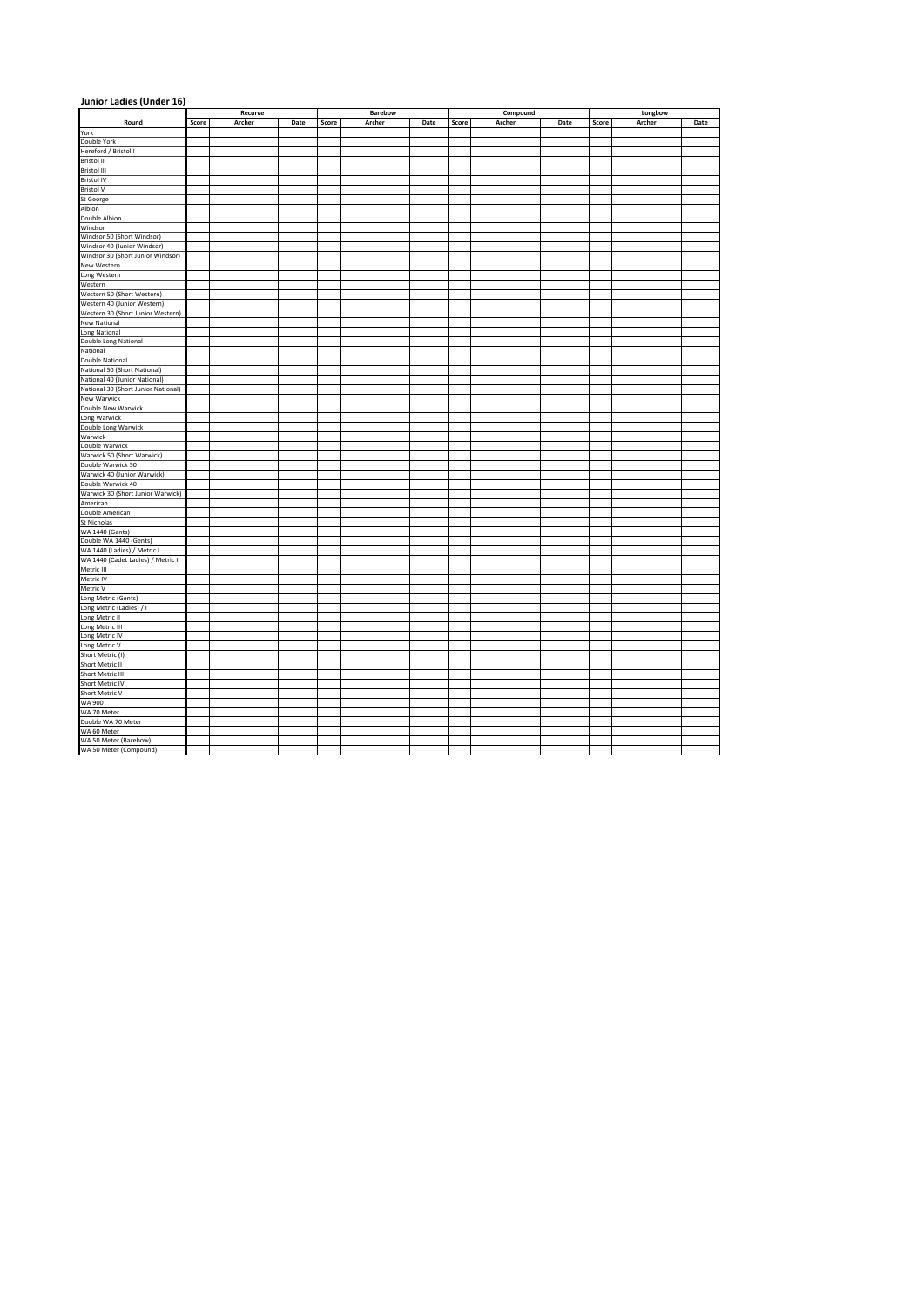| Junior Ladies (Under 16)                                                                                   |       |         |      |       |         |      |       |          |      |         |        |      |  |
|------------------------------------------------------------------------------------------------------------|-------|---------|------|-------|---------|------|-------|----------|------|---------|--------|------|--|
|                                                                                                            |       | Recurve |      |       | Barebow |      |       | Compound |      | Longbow |        |      |  |
| Round                                                                                                      | Score | Archer  | Date | Score | Archer  | Date | Score | Archer   | Date | Score   | Archer | Date |  |
| York                                                                                                       |       |         |      |       |         |      |       |          |      |         |        |      |  |
| Double York                                                                                                |       |         |      |       |         |      |       |          |      |         |        |      |  |
| Hereford / Bristol I                                                                                       |       |         |      |       |         |      |       |          |      |         |        |      |  |
| Bristol II<br>Bristol III                                                                                  |       |         |      |       |         |      |       |          |      |         |        |      |  |
| <b>Bristol IV</b>                                                                                          |       |         |      |       |         |      |       |          |      |         |        |      |  |
| <b>Bristol V</b>                                                                                           |       |         |      |       |         |      |       |          |      |         |        |      |  |
| St George                                                                                                  |       |         |      |       |         |      |       |          |      |         |        |      |  |
| Albion                                                                                                     |       |         |      |       |         |      |       |          |      |         |        |      |  |
| Double Albion                                                                                              |       |         |      |       |         |      |       |          |      |         |        |      |  |
| Windsor                                                                                                    |       |         |      |       |         |      |       |          |      |         |        |      |  |
| Windsor 50 (Short Windsor)                                                                                 |       |         |      |       |         |      |       |          |      |         |        |      |  |
| Windsor 40 (Junior Windsor)                                                                                |       |         |      |       |         |      |       |          |      |         |        |      |  |
|                                                                                                            |       |         |      |       |         |      |       |          |      |         |        |      |  |
|                                                                                                            |       |         |      |       |         |      |       |          |      |         |        |      |  |
| Windsor av (Junior Windsor)<br>Nindsor 30 (Short Junior Windsor)<br>New Western<br>Long Western<br>Western |       |         |      |       |         |      |       |          |      |         |        |      |  |
|                                                                                                            |       |         |      |       |         |      |       |          |      |         |        |      |  |
| Western 50 (Short Western)                                                                                 |       |         |      |       |         |      |       |          |      |         |        |      |  |
| Western 40 (Junior Western)                                                                                |       |         |      |       |         |      |       |          |      |         |        |      |  |
| Western 30 (Short Junior Western)<br><b>New National</b>                                                   |       |         |      |       |         |      |       |          |      |         |        |      |  |
|                                                                                                            |       |         |      |       |         |      |       |          |      |         |        |      |  |
| Long National<br>Double Long National                                                                      |       |         |      |       |         |      |       |          |      |         |        |      |  |
| National                                                                                                   |       |         |      |       |         |      |       |          |      |         |        |      |  |
| Double National                                                                                            |       |         |      |       |         |      |       |          |      |         |        |      |  |
| National 50 (Short National)                                                                               |       |         |      |       |         |      |       |          |      |         |        |      |  |
| National 40 (Junior National)                                                                              |       |         |      |       |         |      |       |          |      |         |        |      |  |
| National 30 (Short Junior National)                                                                        |       |         |      |       |         |      |       |          |      |         |        |      |  |
| <b>New Warwick</b>                                                                                         |       |         |      |       |         |      |       |          |      |         |        |      |  |
|                                                                                                            |       |         |      |       |         |      |       |          |      |         |        |      |  |
| <b>Double New Warwick<br/>Long Warwick<br/>Double Long Warwick</b>                                         |       |         |      |       |         |      |       |          |      |         |        |      |  |
|                                                                                                            |       |         |      |       |         |      |       |          |      |         |        |      |  |
| Warwick                                                                                                    |       |         |      |       |         |      |       |          |      |         |        |      |  |
| Double Warwick                                                                                             |       |         |      |       |         |      |       |          |      |         |        |      |  |
| Warwick 50 (Short Warwick)<br>Double Warwick 50                                                            |       |         |      |       |         |      |       |          |      |         |        |      |  |
| Warwick 40 (Junior Warwick)                                                                                |       |         |      |       |         |      |       |          |      |         |        |      |  |
| Double Warwick 40                                                                                          |       |         |      |       |         |      |       |          |      |         |        |      |  |
| Warwick 30 (Short Junior Warwick)                                                                          |       |         |      |       |         |      |       |          |      |         |        |      |  |
| American                                                                                                   |       |         |      |       |         |      |       |          |      |         |        |      |  |
| Double American                                                                                            |       |         |      |       |         |      |       |          |      |         |        |      |  |
| St Nicholas                                                                                                |       |         |      |       |         |      |       |          |      |         |        |      |  |
| Stational<br>WA 1440 (Gents)<br>WA 1440 (Ladies) / Metric I<br>WA 1440 (Cadet Ladies) / Metric II          |       |         |      |       |         |      |       |          |      |         |        |      |  |
|                                                                                                            |       |         |      |       |         |      |       |          |      |         |        |      |  |
|                                                                                                            |       |         |      |       |         |      |       |          |      |         |        |      |  |
|                                                                                                            |       |         |      |       |         |      |       |          |      |         |        |      |  |
| Metric III                                                                                                 |       |         |      |       |         |      |       |          |      |         |        |      |  |
| Metric IV<br>Metric V                                                                                      |       |         |      |       |         |      |       |          |      |         |        |      |  |
| Long Metric (Gents)                                                                                        |       |         |      |       |         |      |       |          |      |         |        |      |  |
| Long Metric (Ladies) / I                                                                                   |       |         |      |       |         |      |       |          |      |         |        |      |  |
| Long Metric II                                                                                             |       |         |      |       |         |      |       |          |      |         |        |      |  |
|                                                                                                            |       |         |      |       |         |      |       |          |      |         |        |      |  |
|                                                                                                            |       |         |      |       |         |      |       |          |      |         |        |      |  |
| Long Metric III<br>Long Metric IV<br>Long Metric V<br>Short Metric (I)                                     |       |         |      |       |         |      |       |          |      |         |        |      |  |
|                                                                                                            |       |         |      |       |         |      |       |          |      |         |        |      |  |
|                                                                                                            |       |         |      |       |         |      |       |          |      |         |        |      |  |
|                                                                                                            |       |         |      |       |         |      |       |          |      |         |        |      |  |
|                                                                                                            |       |         |      |       |         |      |       |          |      |         |        |      |  |
| Short Metric II<br>Short Metric III<br>Short Metric IV<br>Short Metric V<br>WA 900                         |       |         |      |       |         |      |       |          |      |         |        |      |  |
|                                                                                                            |       |         |      |       |         |      |       |          |      |         |        |      |  |
| WA 70 Meter<br>Double WA 70 Meter                                                                          |       |         |      |       |         |      |       |          |      |         |        |      |  |
|                                                                                                            |       |         |      |       |         |      |       |          |      |         |        |      |  |
| WA 60 Meter<br>WA 50 Meter (Barebow)                                                                       |       |         |      |       |         |      |       |          |      |         |        |      |  |
| WA 50 Meter (Compound)                                                                                     |       |         |      |       |         |      |       |          |      |         |        |      |  |
|                                                                                                            |       |         |      |       |         |      |       |          |      |         |        |      |  |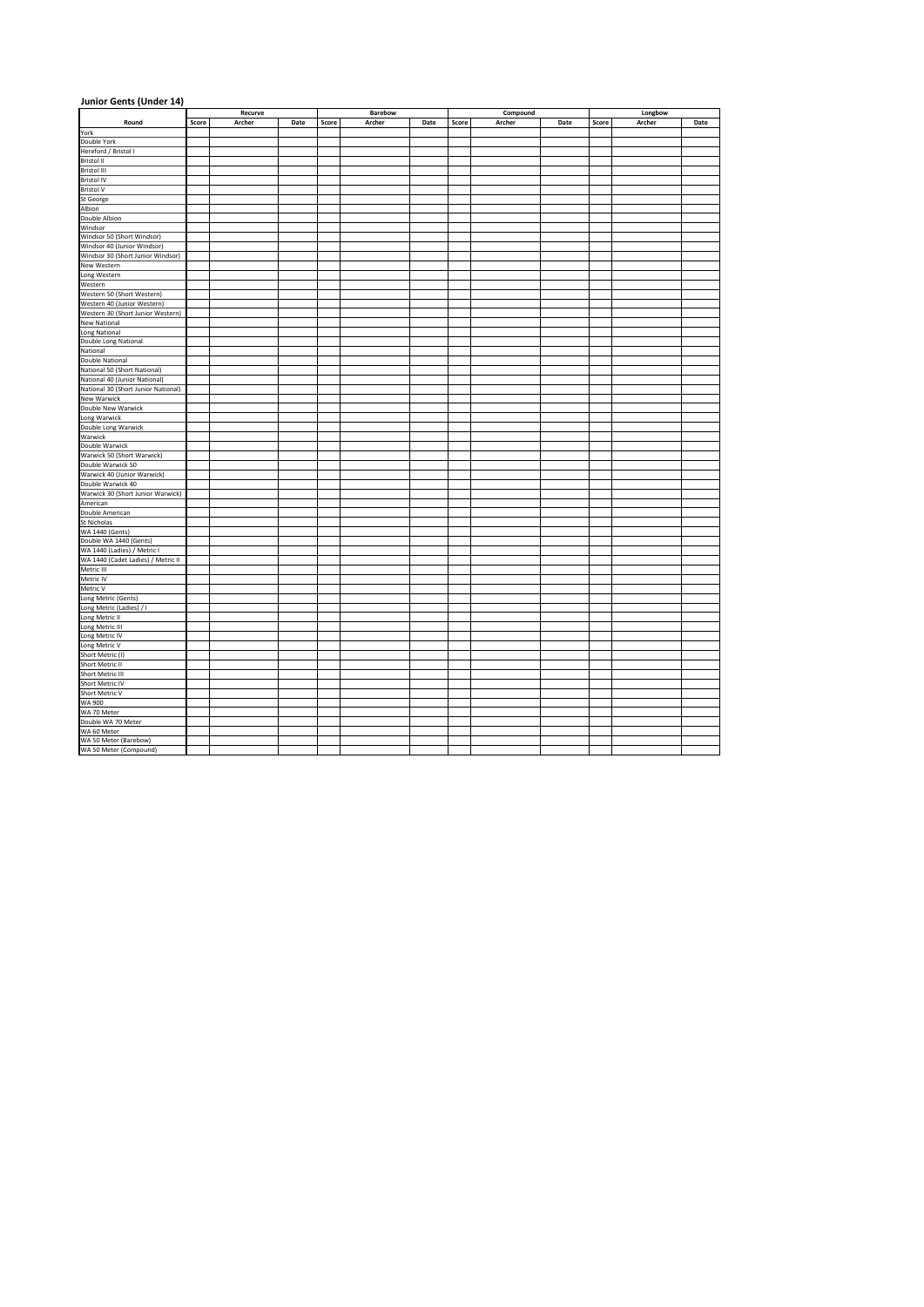| Junior Gents (Under 14)                                                                                    |       |         |      |       |         |      |       |          |      |         |        |      |  |
|------------------------------------------------------------------------------------------------------------|-------|---------|------|-------|---------|------|-------|----------|------|---------|--------|------|--|
|                                                                                                            |       | Recurve |      |       | Barebow |      |       | Compound |      | Longbow |        |      |  |
| Round                                                                                                      | Score | Archer  | Date | Score | Archer  | Date | Score | Archer   | Date | Score   | Archer | Date |  |
| York                                                                                                       |       |         |      |       |         |      |       |          |      |         |        |      |  |
| Double York                                                                                                |       |         |      |       |         |      |       |          |      |         |        |      |  |
| Hereford / Bristol I                                                                                       |       |         |      |       |         |      |       |          |      |         |        |      |  |
| Bristol II<br>Bristol III                                                                                  |       |         |      |       |         |      |       |          |      |         |        |      |  |
| <b>Bristol IV</b>                                                                                          |       |         |      |       |         |      |       |          |      |         |        |      |  |
| <b>Bristol V</b>                                                                                           |       |         |      |       |         |      |       |          |      |         |        |      |  |
| St George                                                                                                  |       |         |      |       |         |      |       |          |      |         |        |      |  |
| Albion                                                                                                     |       |         |      |       |         |      |       |          |      |         |        |      |  |
| Double Albion                                                                                              |       |         |      |       |         |      |       |          |      |         |        |      |  |
| Windsor                                                                                                    |       |         |      |       |         |      |       |          |      |         |        |      |  |
| Windsor 50 (Short Windsor)                                                                                 |       |         |      |       |         |      |       |          |      |         |        |      |  |
| Windsor 40 (Junior Windsor)                                                                                |       |         |      |       |         |      |       |          |      |         |        |      |  |
| Windsor av (Junior Windsor)<br>Nindsor 30 (Short Junior Windsor)<br>New Western<br>Long Western<br>Western |       |         |      |       |         |      |       |          |      |         |        |      |  |
|                                                                                                            |       |         |      |       |         |      |       |          |      |         |        |      |  |
|                                                                                                            |       |         |      |       |         |      |       |          |      |         |        |      |  |
|                                                                                                            |       |         |      |       |         |      |       |          |      |         |        |      |  |
| Western 50 (Short Western)                                                                                 |       |         |      |       |         |      |       |          |      |         |        |      |  |
| Western 40 (Junior Western)                                                                                |       |         |      |       |         |      |       |          |      |         |        |      |  |
| Western 30 (Short Junior Western)<br><b>New National</b>                                                   |       |         |      |       |         |      |       |          |      |         |        |      |  |
|                                                                                                            |       |         |      |       |         |      |       |          |      |         |        |      |  |
| Long National<br>Double Long National                                                                      |       |         |      |       |         |      |       |          |      |         |        |      |  |
| National                                                                                                   |       |         |      |       |         |      |       |          |      |         |        |      |  |
| Double National                                                                                            |       |         |      |       |         |      |       |          |      |         |        |      |  |
| National 50 (Short National)                                                                               |       |         |      |       |         |      |       |          |      |         |        |      |  |
| National 40 (Junior National)                                                                              |       |         |      |       |         |      |       |          |      |         |        |      |  |
| National 30 (Short Junior National)                                                                        |       |         |      |       |         |      |       |          |      |         |        |      |  |
| <b>New Warwick</b>                                                                                         |       |         |      |       |         |      |       |          |      |         |        |      |  |
|                                                                                                            |       |         |      |       |         |      |       |          |      |         |        |      |  |
|                                                                                                            |       |         |      |       |         |      |       |          |      |         |        |      |  |
| <b>Double New Warwick<br/>Long Warwick<br/>Double Long Warwick</b>                                         |       |         |      |       |         |      |       |          |      |         |        |      |  |
| Warwick                                                                                                    |       |         |      |       |         |      |       |          |      |         |        |      |  |
| Double Warwick                                                                                             |       |         |      |       |         |      |       |          |      |         |        |      |  |
| Warwick 50 (Short Warwick)                                                                                 |       |         |      |       |         |      |       |          |      |         |        |      |  |
| Double Warwick 50<br>Warwick 40 (Junior Warwick)                                                           |       |         |      |       |         |      |       |          |      |         |        |      |  |
| Double Warwick 40                                                                                          |       |         |      |       |         |      |       |          |      |         |        |      |  |
| Warwick 30 (Short Junior Warwick)                                                                          |       |         |      |       |         |      |       |          |      |         |        |      |  |
| American                                                                                                   |       |         |      |       |         |      |       |          |      |         |        |      |  |
| Double American                                                                                            |       |         |      |       |         |      |       |          |      |         |        |      |  |
| St Nicholas                                                                                                |       |         |      |       |         |      |       |          |      |         |        |      |  |
| Stational<br>WA 1440 (Gents)<br>WA 1440 (Ladies) / Metric I<br>WA 1440 (Cadet Ladies) / Metric II          |       |         |      |       |         |      |       |          |      |         |        |      |  |
|                                                                                                            |       |         |      |       |         |      |       |          |      |         |        |      |  |
|                                                                                                            |       |         |      |       |         |      |       |          |      |         |        |      |  |
|                                                                                                            |       |         |      |       |         |      |       |          |      |         |        |      |  |
| Metric III                                                                                                 |       |         |      |       |         |      |       |          |      |         |        |      |  |
| Metric IV                                                                                                  |       |         |      |       |         |      |       |          |      |         |        |      |  |
| Metric V                                                                                                   |       |         |      |       |         |      |       |          |      |         |        |      |  |
| Long Metric (Gents)                                                                                        |       |         |      |       |         |      |       |          |      |         |        |      |  |
| Long Metric (Ladies) / I<br>Long Metric II                                                                 |       |         |      |       |         |      |       |          |      |         |        |      |  |
|                                                                                                            |       |         |      |       |         |      |       |          |      |         |        |      |  |
|                                                                                                            |       |         |      |       |         |      |       |          |      |         |        |      |  |
| Long Metric III<br>Long Metric IV<br>Long Metric V<br>Short Metric (I)                                     |       |         |      |       |         |      |       |          |      |         |        |      |  |
|                                                                                                            |       |         |      |       |         |      |       |          |      |         |        |      |  |
| Short Metric II<br>Short Metric III<br>Short Metric IV<br>Short Metric V<br>WA 900                         |       |         |      |       |         |      |       |          |      |         |        |      |  |
|                                                                                                            |       |         |      |       |         |      |       |          |      |         |        |      |  |
|                                                                                                            |       |         |      |       |         |      |       |          |      |         |        |      |  |
|                                                                                                            |       |         |      |       |         |      |       |          |      |         |        |      |  |
|                                                                                                            |       |         |      |       |         |      |       |          |      |         |        |      |  |
| WA 70 Meter<br>Double WA 70 Meter                                                                          |       |         |      |       |         |      |       |          |      |         |        |      |  |
|                                                                                                            |       |         |      |       |         |      |       |          |      |         |        |      |  |
| WA 60 Meter                                                                                                |       |         |      |       |         |      |       |          |      |         |        |      |  |
| WA 50 Meter (Barebow)                                                                                      |       |         |      |       |         |      |       |          |      |         |        |      |  |
| WA 50 Meter (Compound)                                                                                     |       |         |      |       |         |      |       |          |      |         |        |      |  |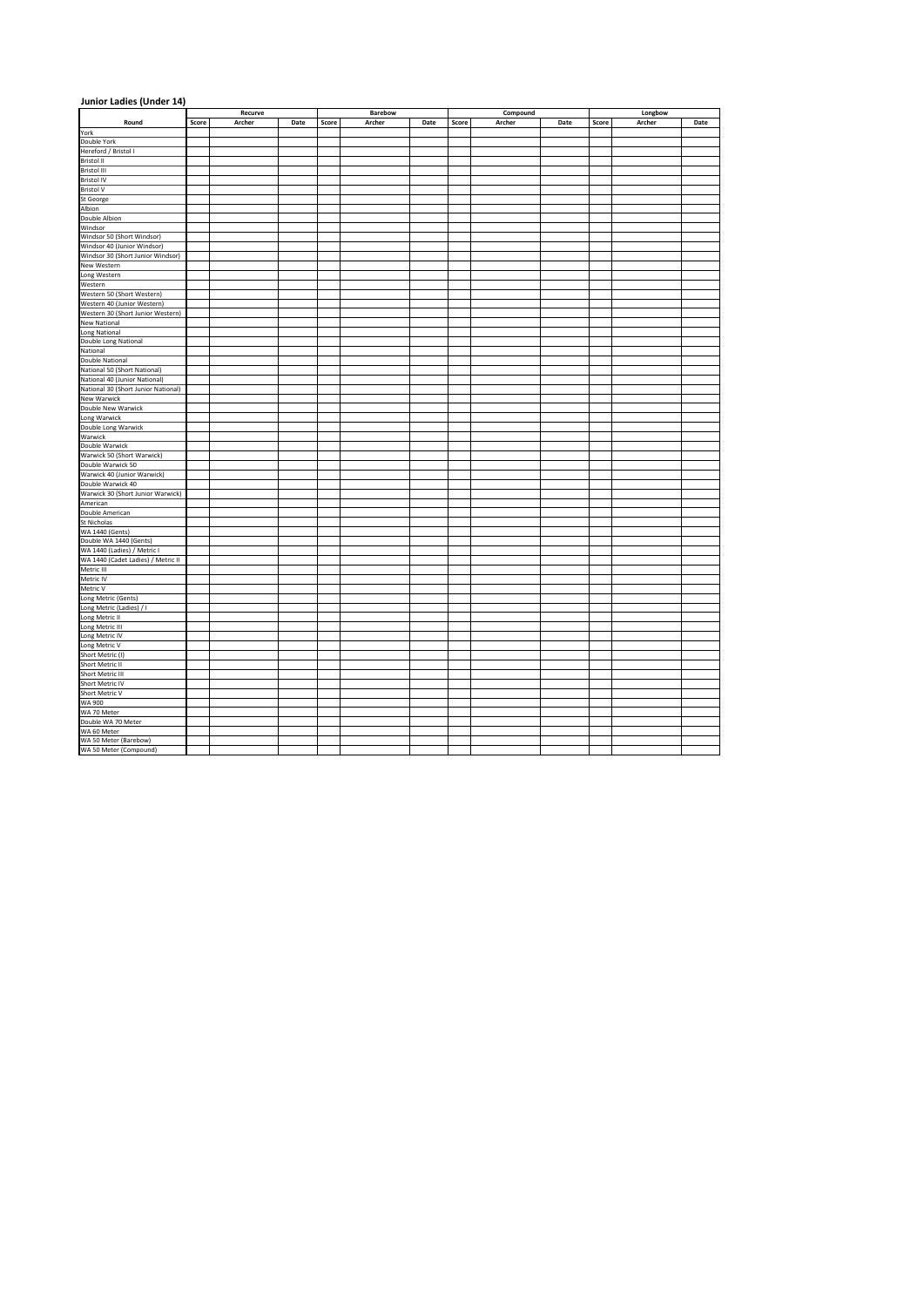| Junior Ladies (Under 14)                                                                                   |       |         |      |       |         |      |       |          |      |         |        |      |
|------------------------------------------------------------------------------------------------------------|-------|---------|------|-------|---------|------|-------|----------|------|---------|--------|------|
|                                                                                                            |       | Recurve |      |       | Barebow |      |       | Compound |      | Longbow |        |      |
| Round                                                                                                      | Score | Archer  | Date | Score | Archer  | Date | Score | Archer   | Date | Score   | Archer | Date |
| York                                                                                                       |       |         |      |       |         |      |       |          |      |         |        |      |
| Double York                                                                                                |       |         |      |       |         |      |       |          |      |         |        |      |
| Hereford / Bristol I<br>Bristol II                                                                         |       |         |      |       |         |      |       |          |      |         |        |      |
| Bristol III                                                                                                |       |         |      |       |         |      |       |          |      |         |        |      |
| <b>Bristol IV</b>                                                                                          |       |         |      |       |         |      |       |          |      |         |        |      |
| <b>Bristol V</b>                                                                                           |       |         |      |       |         |      |       |          |      |         |        |      |
| St George                                                                                                  |       |         |      |       |         |      |       |          |      |         |        |      |
| Albion                                                                                                     |       |         |      |       |         |      |       |          |      |         |        |      |
| Double Albion                                                                                              |       |         |      |       |         |      |       |          |      |         |        |      |
| Windsor                                                                                                    |       |         |      |       |         |      |       |          |      |         |        |      |
| Windsor 50 (Short Windsor)                                                                                 |       |         |      |       |         |      |       |          |      |         |        |      |
| Windsor 40 (Junior Windsor)                                                                                |       |         |      |       |         |      |       |          |      |         |        |      |
| Windsor av (Junior Windsor)<br>Nindsor 30 (Short Junior Windsor)<br>New Western<br>Long Western<br>Western |       |         |      |       |         |      |       |          |      |         |        |      |
|                                                                                                            |       |         |      |       |         |      |       |          |      |         |        |      |
|                                                                                                            |       |         |      |       |         |      |       |          |      |         |        |      |
| Western 50 (Short Western)                                                                                 |       |         |      |       |         |      |       |          |      |         |        |      |
| Western 40 (Junior Western)                                                                                |       |         |      |       |         |      |       |          |      |         |        |      |
| Western 30 (Short Junior Western)                                                                          |       |         |      |       |         |      |       |          |      |         |        |      |
| <b>New National</b>                                                                                        |       |         |      |       |         |      |       |          |      |         |        |      |
| Long National<br>Double Long National                                                                      |       |         |      |       |         |      |       |          |      |         |        |      |
|                                                                                                            |       |         |      |       |         |      |       |          |      |         |        |      |
| National                                                                                                   |       |         |      |       |         |      |       |          |      |         |        |      |
| Double National                                                                                            |       |         |      |       |         |      |       |          |      |         |        |      |
| National 50 (Short National)                                                                               |       |         |      |       |         |      |       |          |      |         |        |      |
| National 40 (Junior National)<br>National 30 (Short Junior National)                                       |       |         |      |       |         |      |       |          |      |         |        |      |
| <b>New Warwick</b>                                                                                         |       |         |      |       |         |      |       |          |      |         |        |      |
|                                                                                                            |       |         |      |       |         |      |       |          |      |         |        |      |
|                                                                                                            |       |         |      |       |         |      |       |          |      |         |        |      |
| <b>Double New Warwick<br/>Long Warwick<br/>Double Long Warwick</b>                                         |       |         |      |       |         |      |       |          |      |         |        |      |
| Warwick                                                                                                    |       |         |      |       |         |      |       |          |      |         |        |      |
| Double Warwick                                                                                             |       |         |      |       |         |      |       |          |      |         |        |      |
| Warwick 50 (Short Warwick)                                                                                 |       |         |      |       |         |      |       |          |      |         |        |      |
| Double Warwick 50                                                                                          |       |         |      |       |         |      |       |          |      |         |        |      |
| Warwick 40 (Junior Warwick)                                                                                |       |         |      |       |         |      |       |          |      |         |        |      |
| Double Warwick 40                                                                                          |       |         |      |       |         |      |       |          |      |         |        |      |
| Warwick 30 (Short Junior Warwick)<br>American                                                              |       |         |      |       |         |      |       |          |      |         |        |      |
| Double American                                                                                            |       |         |      |       |         |      |       |          |      |         |        |      |
| St Nicholas                                                                                                |       |         |      |       |         |      |       |          |      |         |        |      |
| Stational<br>WA 1440 (Gents)<br>WA 1440 (Ladies) / Metric I<br>WA 1440 (Cadet Ladies) / Metric II          |       |         |      |       |         |      |       |          |      |         |        |      |
|                                                                                                            |       |         |      |       |         |      |       |          |      |         |        |      |
|                                                                                                            |       |         |      |       |         |      |       |          |      |         |        |      |
|                                                                                                            |       |         |      |       |         |      |       |          |      |         |        |      |
| Metric III                                                                                                 |       |         |      |       |         |      |       |          |      |         |        |      |
| Metric IV                                                                                                  |       |         |      |       |         |      |       |          |      |         |        |      |
| Metric V                                                                                                   |       |         |      |       |         |      |       |          |      |         |        |      |
| Long Metric (Gents)                                                                                        |       |         |      |       |         |      |       |          |      |         |        |      |
| Long Metric (Ladies) / I<br>Long Metric II                                                                 |       |         |      |       |         |      |       |          |      |         |        |      |
|                                                                                                            |       |         |      |       |         |      |       |          |      |         |        |      |
|                                                                                                            |       |         |      |       |         |      |       |          |      |         |        |      |
|                                                                                                            |       |         |      |       |         |      |       |          |      |         |        |      |
| Long Metric III<br>Long Metric IV<br>Long Metric V<br>Short Metric (I)                                     |       |         |      |       |         |      |       |          |      |         |        |      |
| Short Metric II<br>Short Metric III<br>Short Metric IV<br>Short Metric V<br>WA 900                         |       |         |      |       |         |      |       |          |      |         |        |      |
|                                                                                                            |       |         |      |       |         |      |       |          |      |         |        |      |
|                                                                                                            |       |         |      |       |         |      |       |          |      |         |        |      |
|                                                                                                            |       |         |      |       |         |      |       |          |      |         |        |      |
|                                                                                                            |       |         |      |       |         |      |       |          |      |         |        |      |
| WA 70 Meter<br>Double WA 70 Meter                                                                          |       |         |      |       |         |      |       |          |      |         |        |      |
| WA 60 Meter                                                                                                |       |         |      |       |         |      |       |          |      |         |        |      |
| WA 50 Meter (Barebow)                                                                                      |       |         |      |       |         |      |       |          |      |         |        |      |
| WA 50 Meter (Compound)                                                                                     |       |         |      |       |         |      |       |          |      |         |        |      |
|                                                                                                            |       |         |      |       |         |      |       |          |      |         |        |      |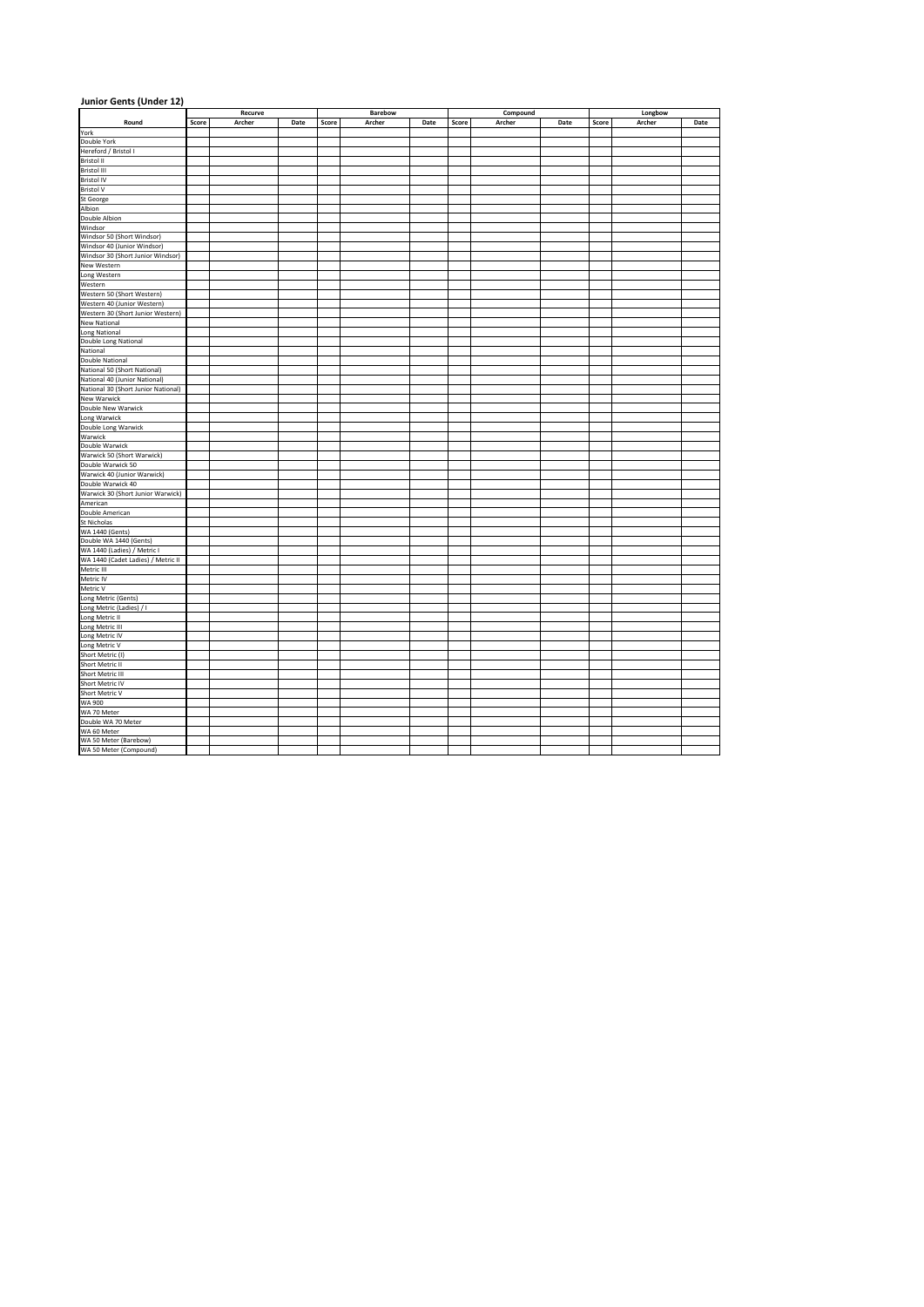| Junior Gents (Under 12)                                                                                    |       |         |      |       |         |      |       |          |      |         |        |      |  |
|------------------------------------------------------------------------------------------------------------|-------|---------|------|-------|---------|------|-------|----------|------|---------|--------|------|--|
|                                                                                                            |       | Recurve |      |       | Barebow |      |       | Compound |      | Longbow |        |      |  |
| Round                                                                                                      | Score | Archer  | Date | Score | Archer  | Date | Score | Archer   | Date | Score   | Archer | Date |  |
| York                                                                                                       |       |         |      |       |         |      |       |          |      |         |        |      |  |
| Double York                                                                                                |       |         |      |       |         |      |       |          |      |         |        |      |  |
| Hereford / Bristol I                                                                                       |       |         |      |       |         |      |       |          |      |         |        |      |  |
| Bristol II<br>Bristol III                                                                                  |       |         |      |       |         |      |       |          |      |         |        |      |  |
| <b>Bristol IV</b>                                                                                          |       |         |      |       |         |      |       |          |      |         |        |      |  |
| <b>Bristol V</b>                                                                                           |       |         |      |       |         |      |       |          |      |         |        |      |  |
| St George                                                                                                  |       |         |      |       |         |      |       |          |      |         |        |      |  |
| Albion                                                                                                     |       |         |      |       |         |      |       |          |      |         |        |      |  |
| Double Albion                                                                                              |       |         |      |       |         |      |       |          |      |         |        |      |  |
| Windsor                                                                                                    |       |         |      |       |         |      |       |          |      |         |        |      |  |
| Windsor 50 (Short Windsor)                                                                                 |       |         |      |       |         |      |       |          |      |         |        |      |  |
| Windsor 40 (Junior Windsor)                                                                                |       |         |      |       |         |      |       |          |      |         |        |      |  |
| Windsor av (Junior Windsor)<br>Nindsor 30 (Short Junior Windsor)<br>New Western<br>Long Western<br>Western |       |         |      |       |         |      |       |          |      |         |        |      |  |
|                                                                                                            |       |         |      |       |         |      |       |          |      |         |        |      |  |
|                                                                                                            |       |         |      |       |         |      |       |          |      |         |        |      |  |
|                                                                                                            |       |         |      |       |         |      |       |          |      |         |        |      |  |
| Western 50 (Short Western)                                                                                 |       |         |      |       |         |      |       |          |      |         |        |      |  |
| Western 40 (Junior Western)                                                                                |       |         |      |       |         |      |       |          |      |         |        |      |  |
| Western 30 (Short Junior Western)<br><b>New National</b>                                                   |       |         |      |       |         |      |       |          |      |         |        |      |  |
|                                                                                                            |       |         |      |       |         |      |       |          |      |         |        |      |  |
| Long National<br>Double Long National                                                                      |       |         |      |       |         |      |       |          |      |         |        |      |  |
| National                                                                                                   |       |         |      |       |         |      |       |          |      |         |        |      |  |
| Double National                                                                                            |       |         |      |       |         |      |       |          |      |         |        |      |  |
| National 50 (Short National)                                                                               |       |         |      |       |         |      |       |          |      |         |        |      |  |
| National 40 (Junior National)                                                                              |       |         |      |       |         |      |       |          |      |         |        |      |  |
| National 30 (Short Junior National)                                                                        |       |         |      |       |         |      |       |          |      |         |        |      |  |
| <b>New Warwick</b>                                                                                         |       |         |      |       |         |      |       |          |      |         |        |      |  |
| <b>Double New Warwick<br/>Long Warwick<br/>Double Long Warwick</b>                                         |       |         |      |       |         |      |       |          |      |         |        |      |  |
|                                                                                                            |       |         |      |       |         |      |       |          |      |         |        |      |  |
|                                                                                                            |       |         |      |       |         |      |       |          |      |         |        |      |  |
| Warwick                                                                                                    |       |         |      |       |         |      |       |          |      |         |        |      |  |
| Double Warwick                                                                                             |       |         |      |       |         |      |       |          |      |         |        |      |  |
| Warwick 50 (Short Warwick)                                                                                 |       |         |      |       |         |      |       |          |      |         |        |      |  |
| Double Warwick 50                                                                                          |       |         |      |       |         |      |       |          |      |         |        |      |  |
| Warwick 40 (Junior Warwick)<br>Double Warwick 40                                                           |       |         |      |       |         |      |       |          |      |         |        |      |  |
| Warwick 30 (Short Junior Warwick)                                                                          |       |         |      |       |         |      |       |          |      |         |        |      |  |
| American                                                                                                   |       |         |      |       |         |      |       |          |      |         |        |      |  |
| Double American                                                                                            |       |         |      |       |         |      |       |          |      |         |        |      |  |
| St Nicholas                                                                                                |       |         |      |       |         |      |       |          |      |         |        |      |  |
| Stational<br>WA 1440 (Gents)<br>WA 1440 (Ladies) / Metric I<br>WA 1440 (Cadet Ladies) / Metric II          |       |         |      |       |         |      |       |          |      |         |        |      |  |
|                                                                                                            |       |         |      |       |         |      |       |          |      |         |        |      |  |
|                                                                                                            |       |         |      |       |         |      |       |          |      |         |        |      |  |
|                                                                                                            |       |         |      |       |         |      |       |          |      |         |        |      |  |
| Metric III                                                                                                 |       |         |      |       |         |      |       |          |      |         |        |      |  |
| Metric IV                                                                                                  |       |         |      |       |         |      |       |          |      |         |        |      |  |
| Metric V                                                                                                   |       |         |      |       |         |      |       |          |      |         |        |      |  |
| Long Metric (Gents)                                                                                        |       |         |      |       |         |      |       |          |      |         |        |      |  |
| Long Metric (Ladies) / I                                                                                   |       |         |      |       |         |      |       |          |      |         |        |      |  |
| Long Metric II                                                                                             |       |         |      |       |         |      |       |          |      |         |        |      |  |
|                                                                                                            |       |         |      |       |         |      |       |          |      |         |        |      |  |
| Long Metric III<br>Long Metric IV<br>Long Metric V<br>Short Metric (I)                                     |       |         |      |       |         |      |       |          |      |         |        |      |  |
|                                                                                                            |       |         |      |       |         |      |       |          |      |         |        |      |  |
|                                                                                                            |       |         |      |       |         |      |       |          |      |         |        |      |  |
| Short Metric II<br>Short Metric III<br>Short Metric IV<br>Short Metric V<br>WA 900                         |       |         |      |       |         |      |       |          |      |         |        |      |  |
|                                                                                                            |       |         |      |       |         |      |       |          |      |         |        |      |  |
|                                                                                                            |       |         |      |       |         |      |       |          |      |         |        |      |  |
|                                                                                                            |       |         |      |       |         |      |       |          |      |         |        |      |  |
|                                                                                                            |       |         |      |       |         |      |       |          |      |         |        |      |  |
| WA 70 Meter<br>Double WA 70 Meter                                                                          |       |         |      |       |         |      |       |          |      |         |        |      |  |
| WA 60 Meter                                                                                                |       |         |      |       |         |      |       |          |      |         |        |      |  |
| WA 50 Meter (Barebow)                                                                                      |       |         |      |       |         |      |       |          |      |         |        |      |  |
| WA 50 Meter (Compound)                                                                                     |       |         |      |       |         |      |       |          |      |         |        |      |  |